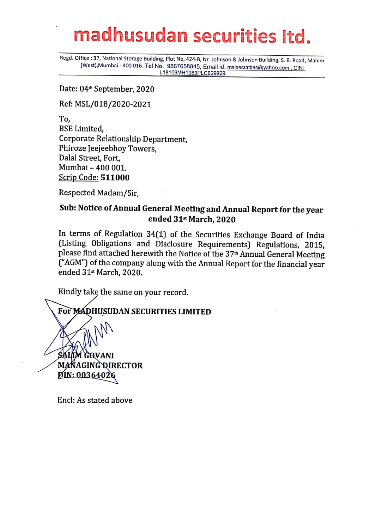# madhusudan securities Itd.

Regd. Office: 37, National Storage Building, Plot No, 424-B, Nr. Johnson & Johnson Building, S. B. Road, Mahim (West), Mumbai - 400 016. Tel No. 9867658845, Email id: mslsecurities@yahoo.com, CIN: L18109MH1983PLC029929

Date: 04th September, 2020

Ref: MSL/018/2020-2021

To, **BSE** Limited. Corporate Relationship Department. Phiroze Jeejeebhoy Towers, Dalal Street, Fort, Mumbai - 400 001. Scrip Code: 511000

Respected Madam/Sir,

# Sub: Notice of Annual General Meeting and Annual Report for the year ended 31st March, 2020

In terms of Regulation 34(1) of the Securities Exchange Board of India (Listing Obligations and Disclosure Requirements) Regulations, 2015, please find attached herewith the Notice of the 37<sup>th</sup> Annual General Meeting ("AGM") of the company along with the Annual Report for the financial year ended 31st March, 2020.

Kindly take the same on your record.

# For MADHUSUDAN SECURITIES LIMITED

M GOVANI **ANAGING DIRECTOR DIN: 00364026** 

Encl: As stated above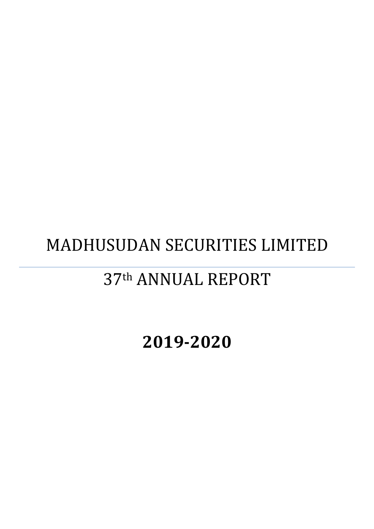# MADHUSUDAN SECURITIES LIMITED

# 37th ANNUAL REPORT

**2019-2020**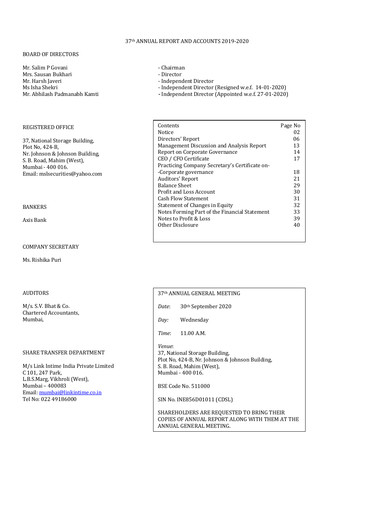# 37<sup>th</sup> ANNUAL REPORT AND ACCOUNTS 2019-2020

#### BOARD OF DIRECTORS

Mr. Salim P Govani **and South Communism** - Chairman Mrs. Sausan Bukhari **Mrs.** Sausan Bukhari **Mrs.** 2010 Mrs. Sausan Bukhari Mr. Harsh Javeri **- Independent Director**<br>Ms Isha Shekri - Independent Director Ms Isha Shekri - Independent Director (Resigned w.e.f. 14-01-2020)

#### REGISTERED OFFICE

37, National Storage Building, Plot No, 424-B, Nr. Johnson & Johnson Building, S. B. Road, Mahim (West), Mumbai - 400 016. Email: mslsecurities@yahoo.com

#### **BANKERS**

Axis Bank

#### COMPANY SECRETARY

Ms. Rishika Puri

#### AUDITORS

M/s. S.V. Bhat & Co. Chartered Accountants. Mumbai,

#### SHARE TRANSFER DEPARTMENT

M/s Link Intime India Private Limited C 101, 247 Park, L.B.S.Marg, Vikhroli (West), Mumbai – 400083 Email: mumbai@linkintime.co.in Tel No: 022 49186000

- 
- 
- 
- 
- Independent Director (Appointed w.e.f. 27-01-2020)

| Contents                                         | Page No |
|--------------------------------------------------|---------|
| <b>Notice</b>                                    | 02      |
| Directors' Report                                | 06      |
| <b>Management Discussion and Analysis Report</b> | 13      |
| Report on Corporate Governance                   | 14      |
| CEO / CFO Certificate                            | 17      |
| Practicing Company Secretary's Certificate on-   |         |
| -Corporate governance                            | 18      |
| Auditors' Report                                 | 21      |
| <b>Balance Sheet</b>                             | 29      |
| Profit and Loss Account                          | 30      |
| Cash Flow Statement                              | 31      |
| <b>Statement of Changes in Equity</b>            | 32      |
| Notes Forming Part of the Financial Statement    | 33      |
| Notes to Profit & Loss                           | 39      |
| Other Disclosure                                 | 40      |
|                                                  |         |
|                                                  |         |

 21

| 37th ANNUAL GENERAL MEETING |
|-----------------------------|
|-----------------------------|

Date: 30<sup>th</sup> September 2020

*Day:* Wednesday

*Time*: 11.00 A.M.

*Venue*: 37, National Storage Building, Plot No, 424-B, Nr. Johnson & Johnson Building, S. B. Road, Mahim (West), Mumbai - 400 016.

**BSE Code No. 511000** 

SIN No. INE856D01011 (CDSL)

SHAREHOLDERS ARE REQUESTED TO BRING THEIR COPIES OF ANNUAL REPORT ALONG WITH THEM AT THE ANNUAL GENERAL MEETING.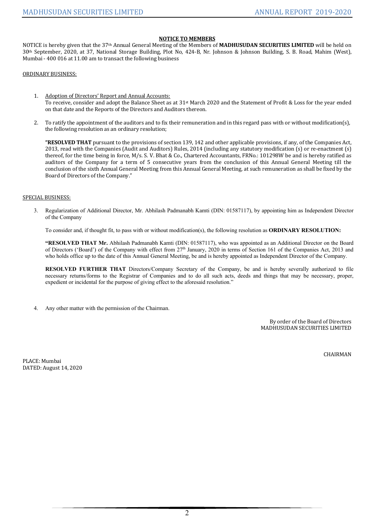# **NOTICE TO MEMBERS**

NOTICE is hereby given that the 37<sup>th</sup> Annual General Meeting of the Members of **MADHUSUDAN SECURITIES LIMITED** will be held on 30<sup>th</sup> September, 2020, at 37, National Storage Building, Plot No, 424-B, Nr. Johnson & Johnson Building, S. B. Road, Mahim (West), Mumbai - 400 016 at 11.00 am to transact the following business

#### ORDINARY BUSINESS:

- 1. Adoption of Directors' Report and Annual Accounts: To receive, consider and adopt the Balance Sheet as at 31<sup>st</sup> March 2020 and the Statement of Profit & Loss for the year ended on that date and the Reports of the Directors and Auditors thereon.
- 2. To ratify the appointment of the auditors and to fix their remuneration and in this regard pass with or without modification(s), the following resolution as an ordinary resolution:

**"RESOLVED THAT** pursuant to the provisions of section 139, 142 and other applicable provisions, if any, of the Companies Act. 2013, read with the Companies (Audit and Auditors) Rules, 2014 (including any statutory modification  $(s)$  or re-enactment  $(s)$ thereof, for the time being in force, M/s. S. V. Bhat & Co., Chartered Accountants, FRNo.: 101298W be and is hereby ratified as auditors of the Company for a term of 5 consecutive years from the conclusion of this Annual General Meeting till the conclusion of the sixth Annual General Meeting from this Annual General Meeting, at such remuneration as shall be fixed by the Board of Directors of the Company."

#### SPECIAL BUSINESS:

3. Regularization of Additional Director, Mr. Abhilash Padmanabh Kamti (DIN: 01587117), by appointing him as Independent Director of the Company

To consider and, if thought fit, to pass with or without modification(s), the following resolution as **ORDINARY RESOLUTION:**

**"RESOLVED THAT Mr.** Abhilash Padmanabh Kamti (DIN: 01587117), who was appointed as an Additional Director on the Board of Directors ('Board') of the Company with effect from 27<sup>th</sup> January, 2020 in terms of Section 161 of the Companies Act, 2013 and who holds office up to the date of this Annual General Meeting, be and is hereby appointed as Independent Director of the Company.

**RESOLVED FURTHER THAT** Directors/Company Secretary of the Company, be and is hereby severally authorized to file necessary returns/forms to the Registrar of Companies and to do all such acts, deeds and things that may be necessary, proper, expedient or incidental for the purpose of giving effect to the aforesaid resolution."

Any other matter with the permission of the Chairman.

By order of the Board of Directors MADHUSUDAN SECURITIES LIMITED

PLACE: Mumbai DATED: August 14, 2020 CHAIRMAN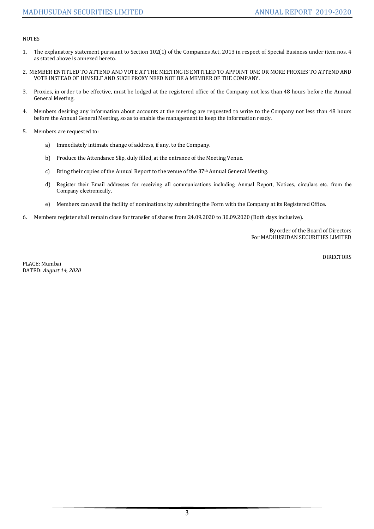#### **NOTES**

- 1. The explanatory statement pursuant to Section 102(1) of the Companies Act, 2013 in respect of Special Business under item nos. 4 as stated above is annexed hereto.
- 2. MEMBER ENTITLED TO ATTEND AND VOTE AT THE MEETING IS ENTITLED TO APPOINT ONE OR MORE PROXIES TO ATTEND AND VOTE INSTEAD OF HIMSELF AND SUCH PROXY NEED NOT BE A MEMBER OF THE COMPANY.
- 3. Proxies, in order to be effective, must be lodged at the registered office of the Company not less than 48 hours before the Annual General Meeting.
- 4. Members desiring any information about accounts at the meeting are requested to write to the Company not less than 48 hours before the Annual General Meeting, so as to enable the management to keep the information ready.
- 5. Members are requested to:
	- a) Immediately intimate change of address, if any, to the Company.
	- b) Produce the Attendance Slip, duly filled, at the entrance of the Meeting Venue.
	- c) Bring their copies of the Annual Report to the venue of the  $37<sup>th</sup>$  Annual General Meeting.
	- d) Register their Email addresses for receiving all communications including Annual Report, Notices, circulars etc. from the Company electronically.
	- e) Members can avail the facility of nominations by submitting the Form with the Company at its Registered Office.
- 6. Members register shall remain close for transfer of shares from 24.09.2020 to 30.09.2020 (Both days inclusive).

By order of the Board of Directors For MADHUSUDAN SECURITIES LIMITED

DIRECTORS

PLACE: Mumbai DATED: *August 14, 2020*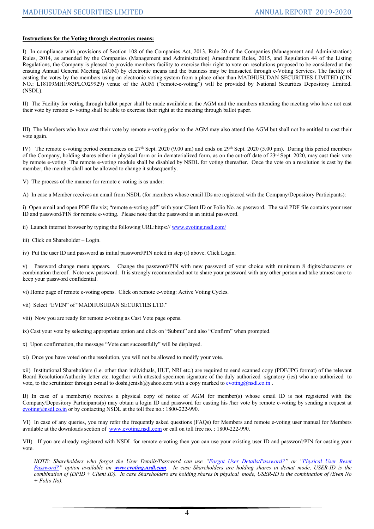# **Instructions for the Voting through electronics means:**

I) In compliance with provisions of Section 108 of the Companies Act, 2013, Rule 20 of the Companies (Management and Administration) Rules, 2014, as amended by the Companies (Management and Administration) Amendment Rules, 2015, and Regulation 44 of the Listing Regulations, the Company is pleased to provide members facility to exercise their right to vote on resolutions proposed to be considered at the ensuing Annual General Meeting (AGM) by electronic means and the business may be transacted through e-Voting Services. The facility of casting the votes by the members using an electronic voting system from a place other than MADHUSUDAN SECURITIES LIMITED (CIN NO.: L18109MH1983PLC029929) venue of the AGM ("remote-e-voting") will be provided by National Securities Depository Limited. (NSDL).

II) The Facility for voting through ballot paper shall be made available at the AGM and the members attending the meeting who have not cast their vote by remote e- voting shall be able to exercise their right at the meeting through ballot paper.

III) The Members who have cast their vote by remote e-voting prior to the AGM may also attend the AGM but shall not be entitled to cast their vote again.

IV) The remote e-voting period commences on 27<sup>th</sup> Sept. 2020 (9.00 am) and ends on 29<sup>th</sup> Sept. 2020 (5.00 pm). During this period members of the Company, holding shares either in physical form or in dematerialized form, as on the cut-off date of 23<sup>rd</sup> Sept. 2020, may cast their vote by remote e-voting. The remote e-voting module shall be disabled by NSDL for voting thereafter. Once the vote on a resolution is cast by the member, the member shall not be allowed to change it subsequently.

V) The process of the manner for remote e-voting is as under:

A) In case a Member receives an email from NSDL (for members whose email IDs are registered with the Company/Depository Participants):

i) Open email and open PDF file viz; "remote e-voting.pdf" with your Client ID or Folio No. as password. The said PDF file contains your user ID and password/PIN for remote e-voting. Please note that the password is an initial password.

ii) Launch internet browser by typing the following URL:https:// www.evoting.nsdl.com/

iii) Click on Shareholder – Login.

iv) Put the user ID and password as initial password/PIN noted in step (i) above. Click Login.

v) Password change menu appears. Change the password/PIN with new password of your choice with minimum 8 digits/characters or combination thereof. Note new password. It is strongly recommended not to share your password with any other person and take utmost care to keep your password confidential.

vi) Home page of remote e-voting opens. Click on remote e-voting: Active Voting Cycles.

vii) Select "EVEN" of "MADHUSUDAN SECURTIES LTD."

viii) Now you are ready for remote e-voting as Cast Vote page opens.

ix) Cast your vote by selecting appropriate option and click on "Submit" and also "Confirm" when prompted.

x) Upon confirmation, the message "Vote cast successfully" will be displayed.

xi) Once you have voted on the resolution, you will not be allowed to modify your vote.

xii) Institutional Shareholders (i.e. other than individuals, HUF, NRI etc.) are required to send scanned copy (PDF/JPG format) of the relevant Board Resolution/Authority letter etc. together with attested specimen signature of the duly authorized signatory (ies) who are authorized to vote, to the scrutinizer through e-mail to doshi.jenish@yahoo.com with a copy marked to evoting@nsdl.co.in .

B) In case of a member(s) receives a physical copy of notice of AGM for member(s) whose email ID is not registered with the Company/Depository Participants(s) may obtain a login ID and password for casting his /her vote by remote e-voting by sending a request at evoting@nsdl.co.in or by contacting NSDL at the toll free no.: 1800-222-990.

VI) In case of any queries, you may refer the frequently asked questions (FAQs) for Members and remote e-voting user manual for Members available at the downloads section of www.evoting.nsdl.com or call on toll free no. : 1800-222-990.

VII) If you are already registered with NSDL for remote e-voting then you can use your existing user ID and password/PIN for casting your vote.

*NOTE: Shareholders who forgot the User Details/Password can use "Forgot User Details/Password?" or "Physical User Reset Password?" option available on www.evoting.nsdl.com. In case Shareholders are holding shares in demat mode, USER-ID is the combination of (DPID + Client ID). In case Shareholders are holding shares in physical mode, USER-ID is the combination of (Even No + Folio No).*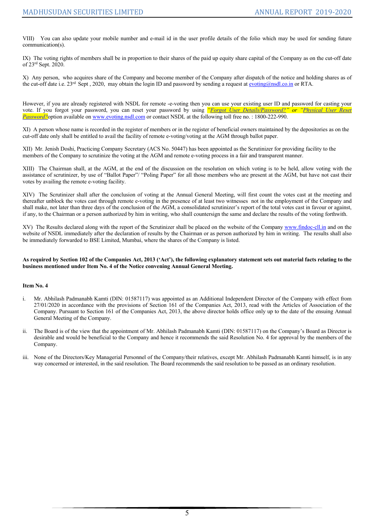VIII) You can also update your mobile number and e-mail id in the user profile details of the folio which may be used for sending future communication(s).

IX) The voting rights of members shall be in proportion to their shares of the paid up equity share capital of the Company as on the cut-off date of 23rd Sept. 2020.

X) Any person, who acquires share of the Company and become member of the Company after dispatch of the notice and holding shares as of the cut-off date i.e.  $23^{\text{rd}}$  Sept, 2020, may obtain the login ID and password by sending a request at evoting@nsdl.co.in or RTA.

However, if you are already registered with NSDL for remote -e-voting then you can use your existing user ID and password for casting your vote. If you forgot your password, you can reset your password by using *"Forgot User Details/Password?" or "Physical User Reset Password?*option available on www.evoting.nsdl.com or contact NSDL at the following toll free no. : 1800-222-990.

XI) A person whose name is recorded in the register of members or in the register of beneficial owners maintained by the depositories as on the cut-off date only shall be entitled to avail the facility of remote e-voting/voting at the AGM through ballot paper.

XII) Mr. Jenish Doshi, Practicing Company Secretary (ACS No. 50447) has been appointed as the Scrutinizer for providing facility to the members of the Company to scrutinize the voting at the AGM and remote e-voting process in a fair and transparent manner.

XIII) The Chairman shall, at the AGM, at the end of the discussion on the resolution on which voting is to be held, allow voting with the assistance of scrutinizer, by use of "Ballot Paper"/ "Poling Paper" for all those members who are present at the AGM, but have not cast their votes by availing the remote e-voting facility.

XIV) The Scrutinizer shall after the conclusion of voting at the Annual General Meeting, will first count the votes cast at the meeting and thereafter unblock the votes cast through remote e-voting in the presence of at least two witnesses not in the employment of the Company and shall make, not later than three days of the conclusion of the AGM, a consolidated scrutinizer's report of the total votes cast in favour or against, if any, to the Chairman or a person authorized by him in writing, who shall countersign the same and declare the results of the voting forthwith.

XV) The Results declared along with the report of the Scrutinizer shall be placed on the website of the Company www.findoc-cll.in and on the website of NSDL immediately after the declaration of results by the Chairman or as person authorized by him in writing. The results shall also be immediately forwarded to BSE Limited, Mumbai, where the shares of the Company is listed.

#### **As required by Section 102 of the Companies Act, 2013 ('Act'), the following explanatory statement sets out material facts relating to the business mentioned under Item No. 4 of the Notice convening Annual General Meeting.**

#### **Item No. 4**

- i. Mr. Abhilash Padmanabh Kamti (DIN: 01587117) was appointed as an Additional Independent Director of the Company with effect from 27/01/2020 in accordance with the provisions of Section 161 of the Companies Act, 2013, read with the Articles of Association of the Company. Pursuant to Section 161 of the Companies Act, 2013, the above director holds office only up to the date of the ensuing Annual General Meeting of the Company.
- ii. The Board is of the view that the appointment of Mr. Abhilash Padmanabh Kamti (DIN: 01587117) on the Company's Board as Director is desirable and would be beneficial to the Company and hence it recommends the said Resolution No. 4 for approval by the members of the Company.
- iii. None of the Directors/Key Managerial Personnel of the Company/their relatives, except Mr. Abhilash Padmanabh Kamti himself, is in any way concerned or interested, in the said resolution. The Board recommends the said resolution to be passed as an ordinary resolution.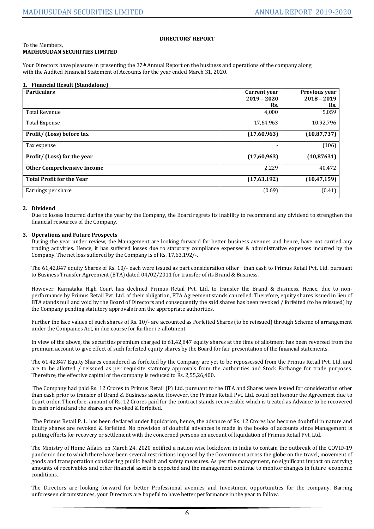# **DIRECTORS' REPORT**

#### To the Members. **MADHUSUDAN SECURITIES LIMITED**

Your Directors have pleasure in presenting the 37<sup>th</sup> Annual Report on the business and operations of the company along with the Audited Financial Statement of Accounts for the year ended March 31, 2020.

### **1. Financial Result (Standalone)**

| <b>Particulars</b>                | <b>Current year</b><br>$2019 - 2020$ | Previous year<br>$2018 - 2019$ |
|-----------------------------------|--------------------------------------|--------------------------------|
|                                   | Rs.                                  | Rs.                            |
| <b>Total Revenue</b>              | 4,000                                | 5,059                          |
| <b>Total Expense</b>              | 17,64,963                            | 10,92,796                      |
| Profit/ (Loss) before tax         | (17,60,963)                          | (10, 87, 737)                  |
| Tax expense                       |                                      | (106)                          |
| Profit/ (Loss) for the year       | (17,60,963)                          | (10, 87631)                    |
| <b>Other Comprehensive Income</b> | 2,229                                | 40,472                         |
| <b>Total Profit for the Year</b>  | (17,63,192)                          | (10, 47, 159)                  |
| Earnings per share                | (0.69)                               | (0.41)                         |

#### **2. Dividend**

Due to losses incurred during the year by the Company, the Board regrets its inability to recommend any dividend to strengthen the financial resources of the Company.

#### **3. Operations and Future Prospects**

During the year under review, the Management are looking forward for better business avenues and hence, have not carried any trading activities. Hence, it has suffered losses due to statutory compliance expenses & administrative expenses incurred by the Company. The net loss suffered by the Company is of Rs. 17,63,192/-.

The 61,42,847 equity Shares of Rs. 10/- each were issued as part consideration other than cash to Primus Retail Pvt. Ltd. pursuant to Business Transfer Agreement (BTA) dated 04/02/2011 for transfer of its Brand & Business.

However, Karnataka High Court has declined Primus Retail Pvt. Ltd. to transfer the Brand & Business. Hence, due to nonperformance by Primus Retail Pvt. Ltd. of their obligation, BTA Agreement stands cancelled. Therefore, equity shares issued in lieu of BTA stands null and void by the Board of Directors and consequently the said shares has been revoked / forfeited (to be reissued) by the Company pending statutory approvals from the appropriate authorities.

Further the face values of such shares of Rs. 10/- are accounted as Forfeited Shares (to be reissued) through Scheme of arrangement under the Companies Act, in due course for further re-allotment.

In view of the above, the securities premium charged to 61,42,847 equity shares at the time of allotment has been reversed from the premium account to give effect of such forfeited equity shares by the Board for fair presentation of the financial statements.

The 61.42.847 Equity Shares considered as forfeited by the Company are yet to be repossessed from the Primus Retail Pvt. Ltd. and are to be allotted / reissued as per requisite statutory approvals from the authorities and Stock Exchange for trade purposes. Therefore, the effective capital of the company is reduced to Rs. 2,55,26,400.

The Company had paid Rs. 12 Crores to Primus Retail (P) Ltd. pursuant to the BTA and Shares were issued for consideration other than cash prior to transfer of Brand & Business assets. However, the Primus Retail Pvt. Ltd. could not honour the Agreement due to Court order. Therefore, amount of Rs. 12 Crores paid for the contract stands recoverable which is treated as Advance to be recovered in cash or kind and the shares are revoked & forfeited.

The Primus Retail P. L. has been declared under liquidation, hence, the advance of Rs. 12 Crores has become doubtful in nature and Equity shares are revoked & forfeited. No provision of doubtful advances is made in the books of accounts since Management is putting efforts for recovery or settlement with the concerned persons on account of liquidation of Primus Retail Pvt. Ltd.

The Ministry of Home Affairs on March 24, 2020 notified a nation wise lockdown in India to contain the outbreak of the COVID-19 pandemic due to which there have been several restrictions imposed by the Government across the globe on the travel, movement of goods and transportation considering public health and safety measures. As per the management, no significant impact on carrying amounts of receivables and other financial assets is expected and the management continue to monitor changes in future *·economic* conditions. 

The Directors are looking forward for better Professional avenues and Investment opportunities for the company. Barring unforeseen circumstances, your Directors are hopeful to have better performance in the year to follow.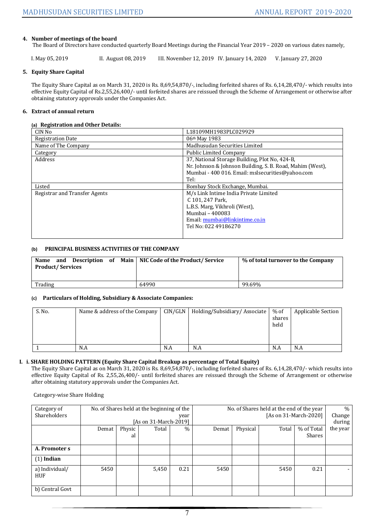# **4. Number of meetings of the board**

The Board of Directors have conducted quarterly Board Meetings during the Financial Year 2019 – 2020 on various dates namely,

I. May 05, 2019 II. August 08, 2019 II. November 12, 2019 IV. January 14, 2020 V. January 27, 2020

# **5. Equity Share Capital**

The Equity Share Capital as on March 31, 2020 is Rs. 8,69,54,870/-, including forfeited shares of Rs. 6,14,28,470/- which results into effective Equity Capital of Rs.2,55,26,400/- until forfeited shares are reissued through the Scheme of Arrangement or otherwise after obtaining statutory approvals under the Companies Act.

### **6.** Extract of annual return

# **(a) Registration and Other Details:**

| CIN <sub>No</sub>                    | L18109MH1983PLC029929                                     |
|--------------------------------------|-----------------------------------------------------------|
| <b>Registration Date</b>             | 06th May 1983                                             |
| Name of The Company                  | Madhusudan Securities Limited                             |
| Category                             | <b>Public Limited Company</b>                             |
| Address                              | 37, National Storage Building, Plot No, 424-B,            |
|                                      | Nr. Johnson & Johnson Building, S. B. Road, Mahim (West), |
|                                      | Mumbai - 400 016. Email: mslsecurities@yahoo.com          |
|                                      | Tel:                                                      |
|                                      |                                                           |
| Listed                               | Bombay Stock Exchange, Mumbai.                            |
| <b>Registrar and Transfer Agents</b> | M/s Link Intime India Private Limited                     |
|                                      | C 101, 247 Park,                                          |
|                                      | L.B.S. Marg, Vikhroli (West),                             |
|                                      | Mumbai - 400083                                           |
|                                      | Email: mumbai@linkintime.co.in                            |
|                                      | Tel No: 022 49186270                                      |
|                                      |                                                           |

### **(b) PRINCIPAL BUSINESS ACTIVITIES OF THE COMPANY**

| <b>Name</b><br><b>Product/Services</b> |  | and Description of Main   NIC Code of the Product/Service | % of total turnover to the Company |
|----------------------------------------|--|-----------------------------------------------------------|------------------------------------|
| Trading                                |  | 64990                                                     | 99.69%                             |

#### **(c) Particulars of Holding, Subsidiary & Associate Companies:**

| S. No. | Name & address of the Company   CIN/GLN   Holding/Subsidiary/Associate |     |     |        | % of Applicable Section |
|--------|------------------------------------------------------------------------|-----|-----|--------|-------------------------|
|        |                                                                        |     |     | shares |                         |
|        |                                                                        |     |     | held   |                         |
|        |                                                                        |     |     |        |                         |
|        |                                                                        |     |     |        |                         |
|        |                                                                        |     |     |        |                         |
|        | N.A                                                                    | N.A | N.A | N.A    | N.A                     |

# **I.** i. SHARE HOLDING PATTERN (Equity Share Capital Breakup as percentage of Total Equity)

The Equity Share Capital as on March 31, 2020 is Rs. 8,69,54,870/-, including forfeited shares of Rs. 6,14,28,470/- which results into effective Equity Capital of Rs. 2,55,26,400/- until forfeited shares are reissued through the Scheme of Arrangement or otherwise after obtaining statutory approvals under the Companies Act.

Category-wise Share Holding

| Category of<br>Shareholders |       |        | No. of Shares held at the beginning of the | year          |       |          | No. of Shares held at the end of the year | [As on 31-March-2020] | $\%$<br>Change |
|-----------------------------|-------|--------|--------------------------------------------|---------------|-------|----------|-------------------------------------------|-----------------------|----------------|
|                             |       |        | [As on 31-March-2019]                      |               |       |          |                                           |                       | during         |
|                             | Demat | Physic | Total                                      | $\frac{0}{0}$ | Demat | Physical | Total                                     | % of Total            | the year       |
|                             |       | al     |                                            |               |       |          |                                           | Shares                |                |
|                             |       |        |                                            |               |       |          |                                           |                       |                |
| A. Promoter s               |       |        |                                            |               |       |          |                                           |                       |                |
| $(1)$ Indian                |       |        |                                            |               |       |          |                                           |                       |                |
| a) Individual/<br>HUF       | 5450  |        | 5,450                                      | 0.21          | 5450  |          | 5450                                      | 0.21                  |                |
| b) Central Govt             |       |        |                                            |               |       |          |                                           |                       |                |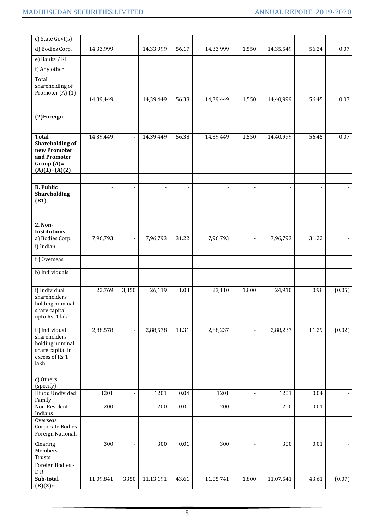| c) State Govt(s)                                                                                          |           |                          |                |                |                          |                          |                |                          |                          |
|-----------------------------------------------------------------------------------------------------------|-----------|--------------------------|----------------|----------------|--------------------------|--------------------------|----------------|--------------------------|--------------------------|
| d) Bodies Corp.                                                                                           | 14,33,999 |                          | 14,33,999      | 56.17          | 14,33,999                | 1,550                    | 14,35,549      | 56.24                    | $0.07\,$                 |
| e) Banks / FI                                                                                             |           |                          |                |                |                          |                          |                |                          |                          |
| f) Any other                                                                                              |           |                          |                |                |                          |                          |                |                          |                          |
| Total<br>shareholding of<br>Promoter (A) (1)                                                              | 14,39,449 |                          | 14,39,449      | 56.38          | 14,39,449                | 1,550                    | 14,40,999      | 56.45                    | $0.07\,$                 |
| (2)Foreign                                                                                                |           | $\overline{\phantom{a}}$ | ÷              | $\overline{a}$ | $\overline{\phantom{a}}$ | $\overline{\phantom{a}}$ | ÷              | $\overline{\phantom{a}}$ |                          |
|                                                                                                           |           |                          |                |                |                          |                          |                |                          |                          |
| <b>Total</b><br><b>Shareholding of</b><br>new Promoter<br>and Promoter<br>Group $(A)=$<br>$(A)(1)+(A)(2)$ | 14,39,449 | $\overline{\phantom{a}}$ | 14,39,449      | 56.38          | 14,39,449                | 1,550                    | 14,40,999      | 56.45                    | $0.07\,$                 |
| <b>B.</b> Public<br>Shareholding<br>(B1)                                                                  |           | ÷                        | $\overline{a}$ | $\overline{a}$ |                          |                          | $\overline{a}$ |                          |                          |
| $2.$ Non-<br><b>Institutions</b>                                                                          |           |                          |                |                |                          |                          |                |                          |                          |
| a) Bodies Corp.                                                                                           | 7,96,793  | $\overline{\phantom{a}}$ | 7,96,793       | 31.22          | 7,96,793                 | $\blacksquare$           | 7,96,793       | 31.22                    | $\overline{\phantom{a}}$ |
| i) Indian                                                                                                 |           |                          |                |                |                          |                          |                |                          |                          |
| ii) Overseas                                                                                              |           |                          |                |                |                          |                          |                |                          |                          |
| b) Individuals                                                                                            |           |                          |                |                |                          |                          |                |                          |                          |
| i) Individual<br>shareholders<br>holding nominal<br>share capital<br>upto Rs. 1 lakh                      | 22,769    | 3,350                    | 26,119         | 1.03           | 23,110                   | 1,800                    | 24,910         | 0.98                     | (0.05)                   |
| ii) Individual<br>shareholders<br>holding nominal<br>share capital in<br>excess of Rs 1<br>lakh           | 2,88,578  | $\overline{\phantom{a}}$ | 2,88,578       | 11.31          | 2,88,237                 |                          | 2,88,237       | 11.29                    | (0.02)                   |
| c) Others                                                                                                 |           |                          |                |                |                          |                          |                |                          |                          |
| (specify)<br>Hindu Undivided<br>Family                                                                    | 1201      | $\blacksquare$           | 1201           | 0.04           | 1201                     | $\overline{\phantom{a}}$ | 1201           | $0.04\,$                 | $\overline{\phantom{a}}$ |
| Non-Resident<br>Indians                                                                                   | 200       | $\overline{\phantom{a}}$ | 200            | $0.01\,$       | 200                      | $\overline{\phantom{a}}$ | 200            | $0.01\,$                 | $\overline{\phantom{a}}$ |
| Overseas<br><b>Corporate Bodies</b><br><b>Foreign Nationals</b>                                           |           |                          |                |                |                          |                          |                |                          |                          |
| Clearing<br>Members                                                                                       | 300       | $\blacksquare$           | 300            | $0.01\,$       | 300                      | $\overline{\phantom{m}}$ | 300            | $0.01\,$                 | $\overline{\phantom{a}}$ |
| Trusts<br>Foreign Bodies -                                                                                |           |                          |                |                |                          |                          |                |                          |                          |
| $\mathbf{D}$ R                                                                                            |           |                          |                |                |                          |                          |                |                          |                          |
| Sub-total<br>$(B)(2)$ :-                                                                                  | 11,09,841 | 3350                     | 11,13,191      | 43.61          | 11,05,741                | 1,800                    | 11,07,541      | 43.61                    | (0.07)                   |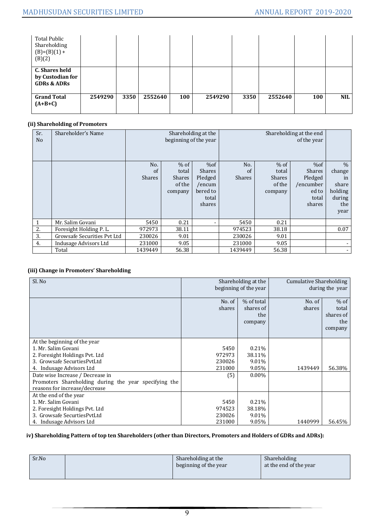| Total Public<br>Shareholding<br>$(B)=(B)(1) +$<br>(B)(2)     |         |      |         |     |         |      |         |     |            |
|--------------------------------------------------------------|---------|------|---------|-----|---------|------|---------|-----|------------|
| C. Shares held<br>by Custodian for<br><b>GDRs &amp; ADRs</b> |         |      |         |     |         |      |         |     |            |
| <b>Grand Total</b><br>$(A+B+C)$                              | 2549290 | 3350 | 2552640 | 100 | 2549290 | 3350 | 2552640 | 100 | <b>NIL</b> |

# **(ii) Shareholding of Promoters**

| Sr.<br>N <sub>o</sub> | Shareholder's Name                 | Shareholding at the<br>beginning of the year |                                                       |                                                                             |                            |                                                       |                                                                          |                                                                |
|-----------------------|------------------------------------|----------------------------------------------|-------------------------------------------------------|-----------------------------------------------------------------------------|----------------------------|-------------------------------------------------------|--------------------------------------------------------------------------|----------------------------------------------------------------|
|                       |                                    | No.<br>of<br><b>Shares</b>                   | $%$ of<br>total<br><b>Shares</b><br>of the<br>company | %of<br><b>Shares</b><br>Pledged<br>$/$ encum<br>bered to<br>total<br>shares | No.<br>of<br><b>Shares</b> | $%$ of<br>total<br><b>Shares</b><br>of the<br>company | %of<br><b>Shares</b><br>Pledged<br>/encumber<br>ed to<br>total<br>shares | %<br>change<br>in<br>share<br>holding<br>during<br>the<br>year |
|                       | Mr. Salim Govani                   | 5450                                         | 0.21                                                  |                                                                             | 5450                       | 0.21                                                  |                                                                          |                                                                |
| 2.                    | Foresight Holding P.L.             | 972973                                       | 38.11                                                 |                                                                             | 974523                     | 38.18                                                 |                                                                          | 0.07                                                           |
| 3.                    | <b>Growsafe Securities Pvt Ltd</b> | 230026                                       | 9.01                                                  |                                                                             | 230026                     | 9.01                                                  |                                                                          |                                                                |
| 4.                    | Indusage Advisors Ltd              | 231000                                       | 9.05                                                  |                                                                             | 231000                     | 9.05                                                  |                                                                          |                                                                |
|                       | Total                              | 1439449                                      | 56.38                                                 |                                                                             | 1439449                    | 56.38                                                 |                                                                          | ۰.                                                             |

# **(iii) Change in Promoters' Shareholding**

| Sl. No                                                                                                                                                                                                                                                                          |                                           | Shareholding at the<br>beginning of the year  |                  | Cumulative Shareholding<br>during the year     |
|---------------------------------------------------------------------------------------------------------------------------------------------------------------------------------------------------------------------------------------------------------------------------------|-------------------------------------------|-----------------------------------------------|------------------|------------------------------------------------|
|                                                                                                                                                                                                                                                                                 | No. of<br>shares                          | % of total<br>shares of<br>the<br>company     | No. of<br>shares | $%$ of<br>total<br>shares of<br>the<br>company |
| At the beginning of the year<br>1. Mr. Salim Govani<br>2. Foresight Holdings Pvt. Ltd.<br>3. Growsafe SecurtiesPvtLtd<br>4. Indusage Advisors Ltd<br>Date wise Increase / Decrease in<br>Promoters Shareholding during the year specifying the<br>reasons for increase/decrease | 5450<br>972973<br>230026<br>231000<br>(5) | 0.21%<br>38.11%<br>9.01%<br>9.05%<br>$0.00\%$ | 1439449          | 56.38%                                         |
| At the end of the year<br>1. Mr. Salim Govani<br>2. Foresight Holdings Pvt. Ltd<br>3. Growsafe SecurtiesPvtLtd<br>4. Indusage Advisors Ltd                                                                                                                                      | 5450<br>974523<br>230026<br>231000        | 0.21%<br>38.18%<br>9.01%<br>9.05%             | 1440999          | 56.45%                                         |

# iv) Shareholding Pattern of top ten Shareholders (other than Directors, Promoters and Holders of GDRs and ADRs):

| Sr.No | Shareholding at the<br>beginning of the year | <b>Shareholding</b><br>at the end of the year |
|-------|----------------------------------------------|-----------------------------------------------|
|-------|----------------------------------------------|-----------------------------------------------|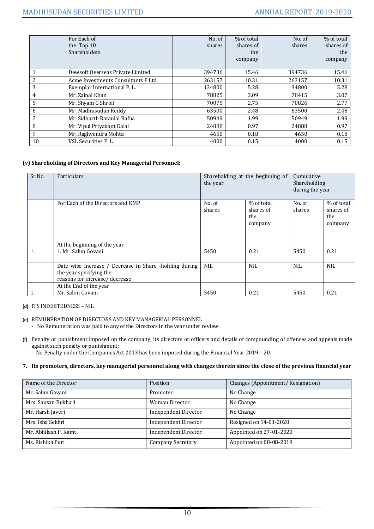|                | For Each of                        | No. of | % of total | No. of | % of total |
|----------------|------------------------------------|--------|------------|--------|------------|
|                | the Top 10                         | shares | shares of  | shares | shares of  |
|                | Shareholders                       |        | the        |        | the        |
|                |                                    |        | company    |        | company    |
|                |                                    |        |            |        |            |
|                | Dewsoft Overseas Private Limited   | 394736 | 15.46      | 394736 | 15.46      |
| $\mathcal{L}$  | Acme Investments Consultants P Ltd | 263157 | 10.31      | 263157 | 10.31      |
| 3              | Exemplar International P.L.        | 134800 | 5.28       | 134800 | 5.28       |
| $\overline{4}$ | Mr. Zainal Khan                    | 78825  | 3.09       | 78415  | 3.07       |
| $\overline{5}$ | Mr. Shyam G Shroff                 | 70075  | 2.75       | 70826  | 2.77       |
| 6              | Mr. Madhusudan Reddy               | 63500  | 2.48       | 63500  | 2.48       |
| 7              | Mr. Sidharth Ratanlal Bafna        | 50949  | 1.99       | 50949  | 1.99       |
| 8              | Mr. Vipul Priyakant Dalal          | 24888  | 0.97       | 24888  | 0.97       |
| 9              | Mr. Raghvendra Mohta               | 4650   | 0.18       | 4650   | 0.18       |
| 10             | VSL Securities P.L.                | 4000   | 0.15       | 4000   | 0.15       |

# (v) Shareholding of Directors and Key Managerial Personnel:

| Sr.No. | <b>Particulars</b>                                                                                                  | Shareholding at the beginning of<br>the year |                                           | Cumulative<br>Shareholding<br>during the year |                                           |
|--------|---------------------------------------------------------------------------------------------------------------------|----------------------------------------------|-------------------------------------------|-----------------------------------------------|-------------------------------------------|
|        | For Each of the Directors and KMP                                                                                   | No. of<br>shares                             | % of total<br>shares of<br>the<br>company | No. of<br>shares                              | % of total<br>shares of<br>the<br>company |
| 1.     | At the beginning of the year<br>1. Mr. Salim Govani                                                                 | 5450                                         | 0.21                                      | 5450                                          | 0.21                                      |
|        | Date wise Increase / Decrease in Share -holding during<br>the year specifying the<br>reasons for increase/ decrease | <b>NIL</b>                                   | <b>NIL</b>                                | <b>NIL</b>                                    | <b>NIL</b>                                |
|        | At the End of the year<br>Mr. Salim Govani                                                                          | 5450                                         | 0.21                                      | 5450                                          | 0.21                                      |

# **(d)** ITS INDEBTEDNESS – NIL

# **(e)** REMUNERATION OF DIRECTORS AND KEY MANAGERIAL PERSONNEL

- No Remuneration was paid to any of the Directors in the year under review.

- (f) Penalty or punishment imposed on the company, its directors or officers and details of compounding of offences and appeals made against such penalty or punishment;
	- No Penalty under the Companies Act 2013 has been imposed during the Financial Year 2019 20.

# 7. Its promoters, directors, key managerial personnel along with changes therein since the close of the previous financial year

| Name of the Director  | Position                    | Changes (Appointment/ Resignation) |
|-----------------------|-----------------------------|------------------------------------|
| Mr. Salim Govani      | Promoter                    | No Change                          |
| Mrs. Sausan Bukhari   | <b>Woman Director</b>       | No Change                          |
| Mr. Harsh Javeri      | <b>Independent Director</b> | No Change                          |
| Mrs. Isha Sekhri      | <b>Independent Director</b> | Resigned on 14-01-2020             |
| Mr. Abhilash P. Kamti | <b>Independent Director</b> | Appointed on 27-01-2020            |
| Ms. Rishika Puri      | <b>Company Secretary</b>    | Appointed on 08-08-2019            |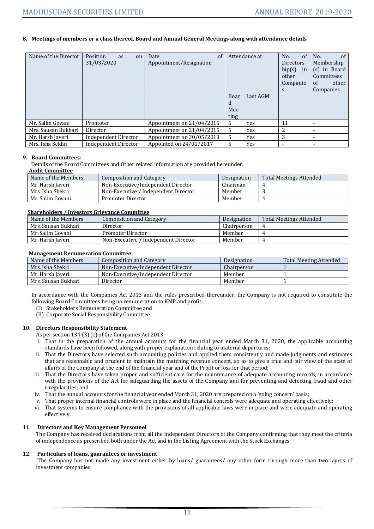# 8. Meetings of members or a class thereof, Board and Annual General Meetings along with attendance details;

| Name of the Director | Position<br>on<br>as | of<br>Date                |      | Attendance at | of<br>No.    | $\sigma$<br>No. |
|----------------------|----------------------|---------------------------|------|---------------|--------------|-----------------|
|                      | 31/03/2020           | Appointment/Resignation   |      |               | Directors    | Membership      |
|                      |                      |                           |      |               | hip(s)<br>in | (s) in Board    |
|                      |                      |                           |      |               | other        | Committees      |
|                      |                      |                           |      |               | Companie     | other<br>of     |
|                      |                      |                           |      |               | S            | Companies       |
|                      |                      |                           | Boar | Last AGM      |              |                 |
|                      |                      |                           | d    |               |              |                 |
|                      |                      |                           | Mee  |               |              |                 |
|                      |                      |                           | ting |               |              |                 |
| Mr. Salim Govani     | Promoter             | Appointment on 21/04/2015 | 5    | Yes           | 11           |                 |
| Mrs. Sausan Bukhari  | Director             | Appointment on 21/04/2015 | 5    | Yes           | 2            |                 |
| Mr. Harsh Javeri     | Independent Director | Appointment on 30/05/2013 | 5    | Yes           | 3            |                 |
| Mrs. Isha Sekhri     | Independent Director | Appointed on 24/01/2017   | 5    | Yes           |              |                 |

#### **9. Board Committees**:

Details of the Board Committees and Other related information are provided hereunder:

# **Audit Committee**

| Name of the Members | <b>Composition and Category</b>      | Designation | Total Meetings Attended |
|---------------------|--------------------------------------|-------------|-------------------------|
| Mr. Harsh Iaveri    | Non-Executive/Independent Director   | Chairman    |                         |
| Mrs. Isha Shekri    | Non-Executive / Independent Director | Member      |                         |
| Mr. Salim Govani    | Promoter Director                    | Member      |                         |

# **Shareholders / Investors Grievance Committee**

| Name of the Members | <b>Composition and Category</b>      | Designation | Total Meetings Attended |
|---------------------|--------------------------------------|-------------|-------------------------|
| Mrs. Sausan Bukhari | Director                             | Chairperson |                         |
| Mr. Salim Govani    | Promoter Director                    | Member      |                         |
| Mr. Harsh Javeri    | Non-Executive / Independent Director | Member      |                         |

#### **Management Remuneration Committee**

| Name of the Members | Composition and Category           | Designation | Total Meeting Attended |
|---------------------|------------------------------------|-------------|------------------------|
| Mrs. Isha Shekri    | Non-Executive/Independent Director | Chairperson |                        |
| Mr. Harsh Javeri    | Non-Executive/Independent Director | Member      |                        |
| Mrs. Sausan Bukhari | Director                           | Member      |                        |

In accordance with the Companies Act 2013 and the rules prescribed thereunder, the Company is not required to constitute the following Board Committees being no remuneration to KMP and profit:

(I) Stakeholders Remuneration Committee and 

(II) Corporate Social Responsibility Committee.

#### **10. Directors Responsibility Statement**

As per section  $134(3)(c)$  of the Companies Act 2013

- i. That in the preparation of the annual accounts for the financial year ended March 31, 2020, the applicable accounting standards have been followed, along with proper explanation relating to material departures;
- ii. That the Directors have selected such accounting policies and applied them consistently and made judgments and estimates that are reasonable and prudent to maintain the matching revenue concept, so as to give a true and fair view of the state of affairs of the Company at the end of the financial year and of the Profit or loss for that period;
- iii. That the Directors have taken proper and sufficient care for the maintenance of adequate accounting records, in accordance with the provisions of the Act for safeguarding the assets of the Company and for preventing and detecting fraud and other irregularities; and
- iv. That the annual accounts for the financial year ended March 31, 2020 are prepared on a 'going concern' basis;
- v. That proper internal financial controls were in place and the financial controls were adequate and operating effectively;
- vi. That systems to ensure compliance with the provisions of all applicable laws were in place and were adequate and operating effectively.

#### 11. Directors and Key Management Personnel

The Company has received declarations from all the Independent Directors of the Company confirming that they meet the criteria of independence as prescribed both under the Act and in the Listing Agreement with the Stock Exchanges.

#### 12. Particulars of loans, guarantees or investment

The Company has not made any investment either by loans/ guarantees/ any other form through more than two layers of investment companies.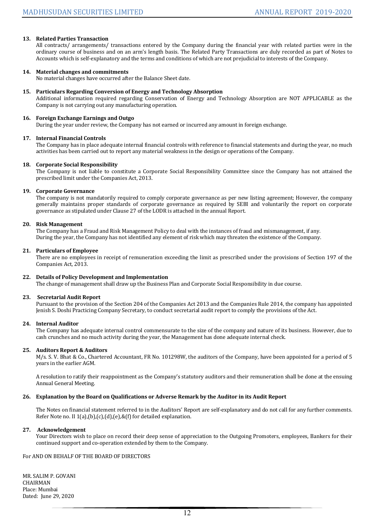#### **13. Related Parties Transaction**

All contracts/ arrangements/ transactions entered by the Company during the financial year with related parties were in the ordinary course of business and on an arm's length basis. The Related Party Transactions are duly recorded as part of Notes to Accounts which is self-explanatory and the terms and conditions of which are not prejudicial to interests of the Company.

#### 14. Material changes and commitments

No material changes have occurred after the Balance Sheet date.

#### **15. Particulars Regarding Conversion of Energy and Technology Absorption**

Additional information required regarding Conservation of Energy and Technology Absorption are NOT APPLICABLE as the Company is not carrying out any manufacturing operation.

#### **16. Foreign Exchange Earnings and Outgo**

During the year under review, the Company has not earned or incurred any amount in foreign exchange.

#### **17. Internal Financial Controls**

The Company has in place adequate internal financial controls with reference to financial statements and during the year, no much activities has been carried out to report any material weakness in the design or operations of the Company.

#### **18. Corporate Social Responsibility**

The Company is not liable to constitute a Corporate Social Responsibility Committee since the Company has not attained the prescribed limit under the Companies Act, 2013.

#### 19. Corporate Governance

The company is not mandatorily required to comply corporate governance as per new listing agreement; However, the company generally maintains proper standards of corporate governance as required by SEBI and voluntarily the report on corporate governance as stipulated under Clause 27 of the LODR is attached in the annual Report.

#### **20. Risk Management**

The Company has a Fraud and Risk Management Policy to deal with the instances of fraud and mismanagement, if any. During the year, the Company has not identified any element of risk which may threaten the existence of the Company.

#### **21. Particulars of Employee**

There are no employees in receipt of remuneration exceeding the limit as prescribed under the provisions of Section 197 of the Companies Act, 2013.

#### 22. Details of Policy Development and Implementation

The change of management shall draw up the Business Plan and Corporate Social Responsibility in due course.

#### **23. Secretarial Audit Report**

Pursuant to the provision of the Section 204 of the Companies Act 2013 and the Companies Rule 2014, the company has appointed Jenish S. Doshi Practicing Company Secretary, to conduct secretarial audit report to comply the provisions of the Act.

#### **24. Internal Auditor**

The Company has adequate internal control commensurate to the size of the company and nature of its business. However, due to cash crunches and no much activity during the year, the Management has done adequate internal check.

#### **25.** Auditors Report & Auditors

M/s. S. V. Bhat & Co., Chartered Accountant, FR No. 101298W, the auditors of the Company, have been appointed for a period of 5 years in the earlier AGM.

A resolution to ratify their reappointment as the Company's statutory auditors and their remuneration shall be done at the ensuing Annual General Meeting.

#### **26. Explanation by the Board on Qualifications or Adverse Remark by the Auditor in its Audit Report**

The Notes on financial statement referred to in the Auditors' Report are self-explanatory and do not call for any further comments. Refer Note no. II  $1(a)$ ,(b),(c),(d),(e),&(f) for detailed explanation.

#### 27. **Acknowledgement**

Your Directors wish to place on record their deep sense of appreciation to the Outgoing Promoters, employees, Bankers for their continued support and co-operation extended by them to the Company.

#### For AND ON BEHALF OF THE BOARD OF DIRECTORS

MR. SALIM P. GOVANI CHAIRMAN Place: Mumbai Dated: Iune 29, 2020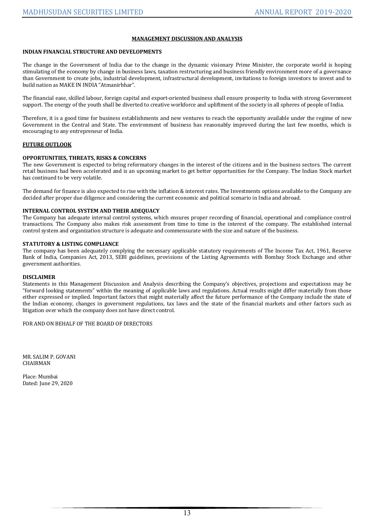# **MANAGEMENT DISCUSSION AND ANALYSIS**

# **INDIAN FINANCIAL STRUCTURE AND DEVELOPMENTS**

The change in the Government of India due to the change in the dynamic visionary Prime Minister, the corporate world is hoping stimulating of the economy by change in business laws, taxation restructuring and business friendly environment more of a governance than Government to create jobs, industrial development, infrastructural development, invitations to foreign investors to invest and to build nation as MAKE IN INDIA "Atmanirbhar".

The financial ease, skilled labour, foreign capital and export-oriented business shall ensure prosperity to India with strong Government support. The energy of the youth shall be diverted to creative workforce and upliftment of the society in all spheres of people of India.

Therefore, it is a good time for business establishments and new ventures to reach the opportunity available under the regime of new Government in the Central and State. The environment of business has reasonably improved during the last few months, which is encouraging to any entrepreneur of India.

#### **FUTURE OUTLOOK**

# **OPPORTUNITIES, THREATS, RISKS & CONCERNS**

The new Government is expected to bring reformatory changes in the interest of the citizens and in the business sectors. The current retail business had been accelerated and is an upcoming market to get better opportunities for the Company. The Indian Stock market has continued to be very volatile.

The demand for finance is also expected to rise with the inflation & interest rates. The Investments options available to the Company are decided after proper due diligence and considering the current economic and political scenario in India and abroad.

## **INTERNAL CONTROL SYSTEM AND THEIR ADEQUACY**

The Company has adequate internal control systems, which ensures proper recording of financial, operational and compliance control transactions. The Company also makes risk assessment from time to time in the interest of the company. The established internal control system and organization structure is adequate and commensurate with the size and nature of the business.

# **STATUTORY & LISTING COMPLIANCE**

The company has been adequately complying the necessary applicable statutory requirements of The Income Tax Act, 1961, Reserve Bank of India, Companies Act, 2013, SEBI guidelines, provisions of the Listing Agreements with Bombay Stock Exchange and other government authorities.

#### **DISCLAIMER**

Statements in this Management Discussion and Analysis describing the Company's objectives, projections and expectations may be "forward looking statements" within the meaning of applicable laws and regulations. Actual results might differ materially from those either expressed or implied. Important factors that might materially affect the future performance of the Company include the state of the Indian economy, changes in government regulations, tax laws and the state of the financial markets and other factors such as litigation over which the company does not have direct control.

FOR AND ON BEHALF OF THE BOARD OF DIRECTORS

MR. SALIM P. GOVANI CHAIRMAN

Place: Mumbai Dated: Iune 29, 2020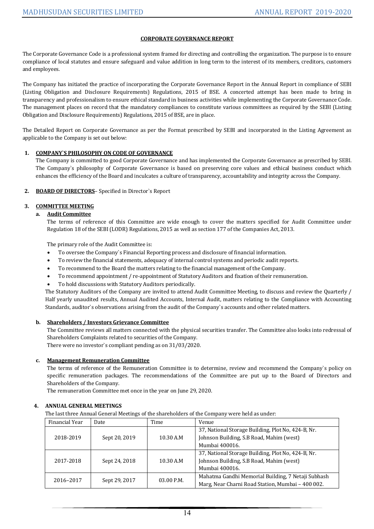# **CORPORATE GOVERNANCE REPORT**

The Corporate Governance Code is a professional system framed for directing and controlling the organization. The purpose is to ensure compliance of local statutes and ensure safeguard and value addition in long term to the interest of its members, creditors, customers and employees.

The Company has initiated the practice of incorporating the Corporate Governance Report in the Annual Report in compliance of SEBI (Listing Obligation and Disclosure Requirements) Regulations, 2015 of BSE. A concerted attempt has been made to bring in transparency and professionalism to ensure ethical standard in business activities while implementing the Corporate Governance Code. The management places on record that the mandatory compliances to constitute various committees as required by the SEBI (Listing Obligation and Disclosure Requirements) Regulations, 2015 of BSE, are in place.

The Detailed Report on Corporate Governance as per the Format prescribed by SEBI and incorporated in the Listing Agreement as applicable to the Company is set out below:

# 1. **COMPANY'S PHILOSOPHY ON CODE OF GOVERNANCE**

The Company is committed to good Corporate Governance and has implemented the Corporate Governance as prescribed by SEBI. The Company's philosophy of Corporate Governance is based on preserving core values and ethical business conduct which enhances the efficiency of the Board and inculcates a culture of transparency, accountability and integrity across the Company.

### 2. **BOARD OF DIRECTORS**- Specified in Director's Report

# **3. COMMITTEE MEETING**

# **a. Audit Committee**

The terms of reference of this Committee are wide enough to cover the matters specified for Audit Committee under Regulation 18 of the SEBI (LODR) Regulations, 2015 as well as section 177 of the Companies Act, 2013.

The primary role of the Audit Committee is:

- To oversee the Company's Financial Reporting process and disclosure of financial information.
- To review the financial statements, adequacy of internal control systems and periodic audit reports.
- To recommend to the Board the matters relating to the financial management of the Company.
- To recommend appointment / re-appointment of Statutory Auditors and fixation of their remuneration.
- To hold discussions with Statutory Auditors periodically.

The Statutory Auditors of the Company are invited to attend Audit Committee Meeting, to discuss and review the Quarterly / Half yearly unaudited results, Annual Audited Accounts, Internal Audit, matters relating to the Compliance with Accounting Standards, auditor's observations arising from the audit of the Company's accounts and other related matters.

#### **b. Shareholders / Investors Grievance Committee**

The Committee reviews all matters connected with the physical securities transfer. The Committee also looks into redressal of Shareholders Complaints related to securities of the Company.

There were no investor's compliant pending as on  $31/03/2020$ .

#### **c. Management Remuneration Committee**

The terms of reference of the Remuneration Committee is to determine, review and recommend the Company's policy on specific remuneration packages. The recommendations of the Committee are put up to the Board of Directors and Shareholders of the Company.

The remuneration Committee met once in the year on June 29, 2020.

#### **4. ANNUAL GENERAL MEETINGS**

The last three Annual General Meetings of the shareholders of the Company were held as under:

| Financial Year | Date          | Time       | Venue                                              |
|----------------|---------------|------------|----------------------------------------------------|
|                |               |            | 37, National Storage Building, Plot No, 424-B, Nr. |
| 2018-2019      | Sept 20, 2019 | 10.30 A.M  | Johnson Building, S.B Road, Mahim (west)           |
|                |               |            | Mumbai 400016.                                     |
|                |               |            | 37, National Storage Building, Plot No, 424-B, Nr. |
| 2017-2018      | Sept 24, 2018 | 10.30 A.M  | Johnson Building, S.B Road, Mahim (west)           |
|                |               |            | Mumbai 400016.                                     |
| 2016-2017      |               |            | Mahatma Gandhi Memorial Building, 7 Netaji Subhash |
|                | Sept 29, 2017 | 03.00 P.M. | Marg, Near Charni Road Station, Mumbai - 400 002.  |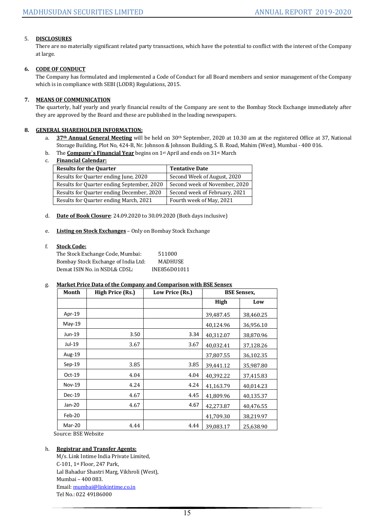# 5. **DISCLOSURES**

There are no materially significant related party transactions, which have the potential to conflict with the interest of the Company at large.

# **6. CODE OF CONDUCT**

The Company has formulated and implemented a Code of Conduct for all Board members and senior management of the Company which is in compliance with SEBI (LODR) Regulations, 2015.

# 7. **MEANS OF COMMUNICATION**

The quarterly, half yearly and yearly financial results of the Company are sent to the Bombay Stock Exchange immediately after they are approved by the Board and these are published in the leading newspapers.

# **8. GENERAL SHAREHOLDER INFORMATION:**

- a. **37th Annual General Meeting** will be held on 30th September, 2020 at 10.30 am at the registered Office at 37, National Storage Building, Plot No, 424-B, Nr. Johnson & Johnson Building, S. B. Road, Mahim (West), Mumbai - 400 016.
- b. The **Company's Financial Year** begins on 1<sup>st</sup> April and ends on 31<sup>st</sup> March

### c. **Financial Calendar:**

| <b>Results for the Quarter</b>             | <b>Tentative Date</b>         |
|--------------------------------------------|-------------------------------|
| Results for Quarter ending June, 2020      | Second Week of August, 2020   |
| Results for Quarter ending September, 2020 | Second week of November, 2020 |
| Results for Quarter ending December, 2020  | Second week of February, 2021 |
| Results for Quarter ending March, 2021     | Fourth week of May, 2021      |

d. **Date of Book Closure**: 24.09.2020 to 30.09.2020 (Both days inclusive)

### e. Listing on Stock Exchanges - Only on Bombay Stock Exchange

# f. **Stock Code:**

| The Stock Exchange Code, Mumbai:    | 511000         |
|-------------------------------------|----------------|
| Bombay Stock Exchange of India Ltd: | <b>MADHUSE</b> |
| Demat ISIN No. in NSDL& CDSL:       | INE856D01011   |

# g. Market Price Data of the Company and Comparison with BSE Sensex

| Month    | <b>High Price (Rs.)</b> | Low Price (Rs.) | <b>BSE Sensex,</b> |           |
|----------|-------------------------|-----------------|--------------------|-----------|
|          |                         |                 | High               | Low       |
| Apr-19   |                         |                 | 39,487.45          | 38,460.25 |
| $May-19$ |                         |                 | 40,124.96          | 36,956.10 |
| Jun-19   | 3.50                    | 3.34            | 40,312.07          | 38,870.96 |
| Jul-19   | 3.67                    | 3.67            | 40,032.41          | 37,128.26 |
| Aug-19   |                         |                 | 37,807.55          | 36,102.35 |
| $Sep-19$ | 3.85                    | 3.85            | 39,441.12          | 35,987.80 |
| $Oct-19$ | 4.04                    | 4.04            | 40,392.22          | 37,415.83 |
| $Nov-19$ | 4.24                    | 4.24            | 41,163.79          | 40,014.23 |
| Dec-19   | 4.67                    | 4.45            | 41,809.96          | 40,135.37 |
| Jan-20   | 4.67                    | 4.67            | 42,273.87          | 40,476.55 |
| Feb-20   |                         |                 | 41,709.30          | 38,219.97 |
| Mar-20   | 4.44                    | 4.44            | 39,083.17          | 25,638.90 |

Source: BSE Website

# h. **Registrar and Transfer Agents:**

M/s. Link Intime India Private Limited, C-101, 1st Floor, 247 Park, Lal Bahadur Shastri Marg, Vikhroli (West), Mumbai - 400 083. Email: mumbai@linkintime.co.in Tel No.: 022 49186000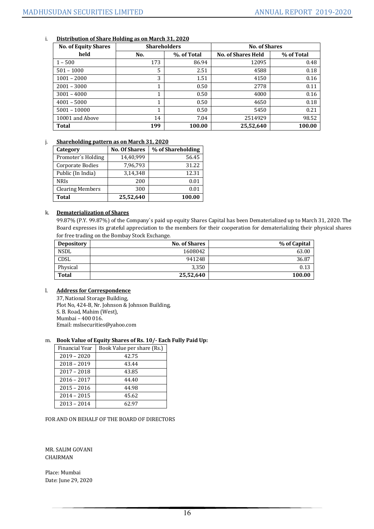# i. **Distribution of Share Holding as on March 31, 2020**

| <b>No. of Equity Shares</b> | <b>Shareholders</b> |             | <b>No. of Shares</b>      |            |
|-----------------------------|---------------------|-------------|---------------------------|------------|
| held                        | No.                 | %. of Total | <b>No. of Shares Held</b> | % of Total |
| $1 - 500$                   | 173                 | 86.94       | 12095                     | 0.48       |
| $501 - 1000$                | 5                   | 2.51        | 4588                      | 0.18       |
| $1001 - 2000$               | 3                   | 1.51        | 4150                      | 0.16       |
| $2001 - 3000$               |                     | 0.50        | 2778                      | 0.11       |
| $3001 - 4000$               | 1                   | 0.50        | 4000                      | 0.16       |
| $4001 - 5000$               |                     | 0.50        | 4650                      | 0.18       |
| $5001 - 10000$              |                     | 0.50        | 5450                      | 0.21       |
| 10001 and Above             | 14                  | 7.04        | 2514929                   | 98.52      |
| Total                       | 199                 | 100.00      | 25,52,640                 | 100.00     |

# j. **Shareholding pattern as on March 31, 2020**

| Category                | <b>No. Of Shares</b> | % of Shareholding |
|-------------------------|----------------------|-------------------|
| Promoter's Holding      | 14,40,999            | 56.45             |
| <b>Corporate Bodies</b> | 7,96,793             | 31.22             |
| Public (In India)       | 3,14,348             | 12.31             |
| <b>NRIS</b>             | 200                  | 0.01              |
| <b>Clearing Members</b> | 300                  | 0.01              |
| <b>Total</b>            | 25,52,640            | 100.00            |

# k. **Dematerialization of Shares**

99.87% (P.Y. 99.87%) of the Company's paid up equity Shares Capital has been Dematerialized up to March 31, 2020. The Board expresses its grateful appreciation to the members for their cooperation for dematerializing their physical shares for free trading on the Bombay Stock Exchange.

| <b>Depository</b> | <b>No. of Shares</b> | % of Capital |
|-------------------|----------------------|--------------|
| NSDL              | 1608042              | 63.00        |
| CDSL              | 941248               | 36.87        |
| Physical          | 3.350                | 0.13         |
| <b>Total</b>      | 25,52,640            | 100.00       |

# l. **Address for Correspondence**

37, National Storage Building, Plot No, 424-B, Nr. Johnson & Johnson Building, S. B. Road, Mahim (West), Mumbai - 400 016. Email: mslsecurities@yahoo.com

# m. **Book Value of Equity Shares of Rs. 10/- Each Fully Paid Up:**

|               | Financial Year<br>Book Value per share (Rs.) |       |  |
|---------------|----------------------------------------------|-------|--|
| $2019 - 2020$ |                                              | 42.75 |  |
|               | $2018 - 2019$                                | 43.44 |  |
|               | $2017 - 2018$                                | 43.85 |  |
|               | $2016 - 2017$                                | 44.40 |  |
|               | $2015 - 2016$                                | 44.98 |  |
|               | $2014 - 2015$                                | 45.62 |  |
|               | $2013 - 2014$                                | 62.97 |  |

# FOR AND ON BEHALF OF THE BOARD OF DIRECTORS

MR. SALIM GOVANI CHAIRMAN

Place: Mumbai Date: June 29, 2020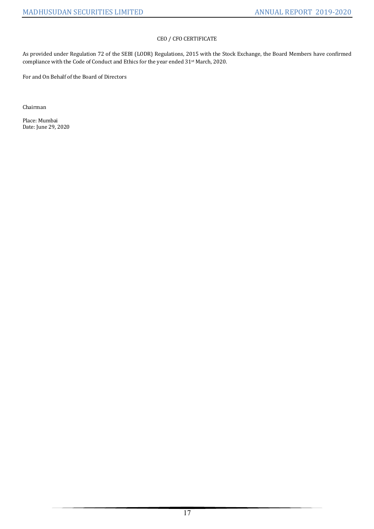# CEO / CFO CERTIFICATE

As provided under Regulation 72 of the SEBI (LODR) Regulations, 2015 with the Stock Exchange, the Board Members have confirmed compliance with the Code of Conduct and Ethics for the year ended 31<sup>st</sup> March, 2020.

For and On Behalf of the Board of Directors

Chairman

Place: Mumbai Date: June 29, 2020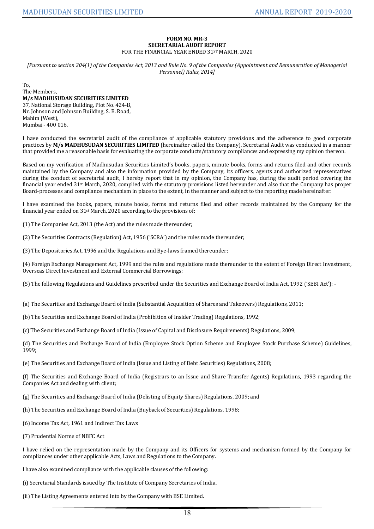#### **FORM NO. MR-3 SECRETARIAL AUDIT REPORT** FOR THE FINANCIAL YEAR ENDED 31ST MARCH, 2020

*[Pursuant to section 204(1) of the Companies Act, 2013 and Rule No. 9 of the Companies (Appointment and Remuneration of Managerial Personnel) Rules, 2014]*

To, The Members, **M/s MADHUSUDAN SECURITIES LIMITED** 37, National Storage Building, Plot No. 424-B, Nr. Johnson and Johnson Building, S. B. Road, Mahim (West), Mumbai - 400 016.

I have conducted the secretarial audit of the compliance of applicable statutory provisions and the adherence to good corporate practices by M/s MADHUSUDAN SECURITIES LIMITED (hereinafter called the Company). Secretarial Audit was conducted in a manner that provided me a reasonable basis for evaluating the corporate conducts/statutory compliances and expressing my opinion thereon.

Based on my verification of Madhusudan Securities Limited's books, papers, minute books, forms and returns filed and other records maintained by the Company and also the information provided by the Company, its officers, agents and authorized representatives during the conduct of secretarial audit, I hereby report that in my opinion, the Company has, during the audit period covering the financial year ended 31<sup>st</sup> March, 2020, complied with the statutory provisions listed hereunder and also that the Company has proper Board-processes and compliance mechanism in place to the extent, in the manner and subject to the reporting made hereinafter.

I have examined the books, papers, minute books, forms and returns filed and other records maintained by the Company for the financial year ended on  $31<sup>st</sup>$  March, 2020 according to the provisions of:

 $(1)$  The Companies Act, 2013 (the Act) and the rules made thereunder;

(2) The Securities Contracts (Regulation) Act, 1956 ('SCRA') and the rules made thereunder;

(3) The Depositories Act, 1996 and the Regulations and Bye-laws framed thereunder;

(4) Foreign Exchange Management Act, 1999 and the rules and regulations made thereunder to the extent of Foreign Direct Investment, Overseas Direct Investment and External Commercial Borrowings;

(5) The following Regulations and Guidelines prescribed under the Securities and Exchange Board of India Act, 1992 ('SEBI Act'): -

(a) The Securities and Exchange Board of India (Substantial Acquisition of Shares and Takeovers) Regulations, 2011;

(b) The Securities and Exchange Board of India (Prohibition of Insider Trading) Regulations, 1992;

(c) The Securities and Exchange Board of India (Issue of Capital and Disclosure Requirements) Regulations, 2009;

(d) The Securities and Exchange Board of India (Employee Stock Option Scheme and Employee Stock Purchase Scheme) Guidelines, 1999; 

(e) The Securities and Exchange Board of India (Issue and Listing of Debt Securities) Regulations, 2008;

(f) The Securities and Exchange Board of India (Registrars to an Issue and Share Transfer Agents) Regulations, 1993 regarding the Companies Act and dealing with client;

(g) The Securities and Exchange Board of India (Delisting of Equity Shares) Regulations, 2009; and

(h) The Securities and Exchange Board of India (Buyback of Securities) Regulations, 1998;

(6) Income Tax Act, 1961 and Indirect Tax Laws

(7) Prudential Norms of NBFC Act

I have relied on the representation made by the Company and its Officers for systems and mechanism formed by the Company for compliances under other applicable Acts, Laws and Regulations to the Company.

I have also examined compliance with the applicable clauses of the following:

(i) Secretarial Standards issued by The Institute of Company Secretaries of India.

(ii) The Listing Agreements entered into by the Company with BSE Limited.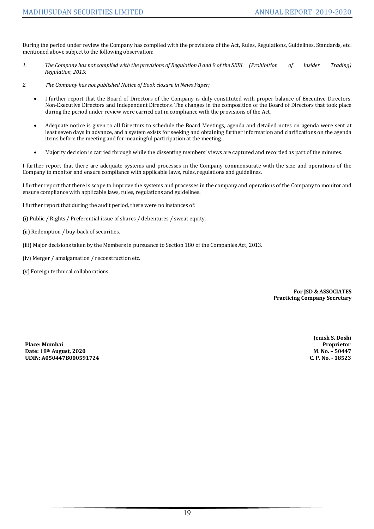During the period under review the Company has complied with the provisions of the Act, Rules, Regulations, Guidelines, Standards, etc. mentioned above subject to the following observation:

- 1. The Company has not complied with the provisions of Regulation 8 and 9 of the SEBI (Prohibition of Insider Trading) *Regulation, 2015;*
- 2. The Company has not published Notice of Book closure in News Paper;
	- I further report that the Board of Directors of the Company is duly constituted with proper balance of Executive Directors, Non-Executive Directors and Independent Directors. The changes in the composition of the Board of Directors that took place during the period under review were carried out in compliance with the provisions of the Act.
	- Adequate notice is given to all Directors to schedule the Board Meetings, agenda and detailed notes on agenda were sent at least seven days in advance, and a system exists for seeking and obtaining further information and clarifications on the agenda items before the meeting and for meaningful participation at the meeting.
	- Majority decision is carried through while the dissenting members' views are captured and recorded as part of the minutes.

I further report that there are adequate systems and processes in the Company commensurate with the size and operations of the Company to monitor and ensure compliance with applicable laws, rules, regulations and guidelines.

I further report that there is scope to improve the systems and processes in the company and operations of the Company to monitor and ensure compliance with applicable laws, rules, regulations and guidelines.

I further report that during the audit period, there were no instances of:

- (i) Public / Rights / Preferential issue of shares / debentures / sweat equity.
- (ii) Redemption / buy-back of securities.
- (iii) Major decisions taken by the Members in pursuance to Section 180 of the Companies Act, 2013.
- (iv) Merger  $/$  amalgamation  $/$  reconstruction etc.
- (v) Foreign technical collaborations.

**For JSD & ASSOCIATES Practicing Company Secretary**

 **Place: Mumbai Proprietor Date: 18th August, 2020 M. No. – 50447 UDIN: A050447B000591724 C. P. No. - 18523**

 **Jenish S. Doshi**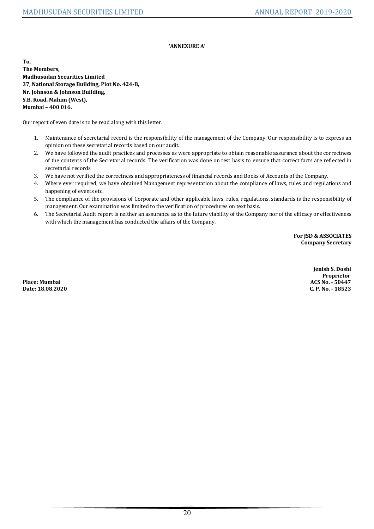# **'ANNEXURE A'**

**To, The Members, Madhusudan Securities Limited 37, National Storage Building, Plot No. 424-B, Nr.** Johnson & Johnson Building, **S.B. Road, Mahim (West), Mumbai – 400 016.**

Our report of even date is to be read along with this letter.

- 1. Maintenance of secretarial record is the responsibility of the management of the Company. Our responsibility is to express an opinion on these secretarial records based on our audit.
- 2. We have followed the audit practices and processes as were appropriate to obtain reasonable assurance about the correctness of the contents of the Secretarial records. The verification was done on test basis to ensure that correct facts are reflected in secretarial records.
- 3. We have not verified the correctness and appropriateness of financial records and Books of Accounts of the Company.
- 4. Where ever required, we have obtained Management representation about the compliance of laws, rules and regulations and happening of events etc.
- 5. The compliance of the provisions of Corporate and other applicable laws, rules, regulations, standards is the responsibility of management. Our examination was limited to the verification of procedures on text basis.
- 6. The Secretarial Audit report is neither an assurance as to the future viability of the Company nor of the efficacy or effectiveness with which the management has conducted the affairs of the Company.

**For JSD & ASSOCIATES Company Secretary** 

**Place: Mumbai ACS No. - 50447 Date: 18.08.2020** 

**Jenish S. Doshi Proprietor**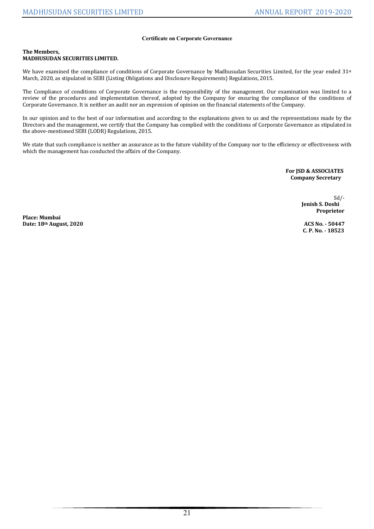# **Certificate on Corporate Governance**

#### **The Members, MADHUSUDAN SECURITIES LIMITED.**

We have examined the compliance of conditions of Corporate Governance by Madhusudan Securities Limited, for the year ended  $31st$ March, 2020, as stipulated in SEBI (Listing Obligations and Disclosure Requirements) Regulations, 2015.

The Compliance of conditions of Corporate Governance is the responsibility of the management. Our examination was limited to a review of the procedures and implementation thereof, adopted by the Company for ensuring the compliance of the conditions of Corporate Governance. It is neither an audit nor an expression of opinion on the financial statements of the Company.

In our opinion and to the best of our information and according to the explanations given to us and the representations made by the Directors and the management, we certify that the Company has complied with the conditions of Corporate Governance as stipulated in the above-mentioned SEBI (LODR) Regulations, 2015.

We state that such compliance is neither an assurance as to the future viability of the Company nor to the efficiency or effectiveness with which the management has conducted the affairs of the Company.

> **For ISD & ASSOCIATES Company Secretary**

> > Sd/- **Jenish S. Doshi Proprietor**

 **C. P. No. - 18523**

**Place: Mumbai Date: 18th August, 2020 ACS No. - 50447**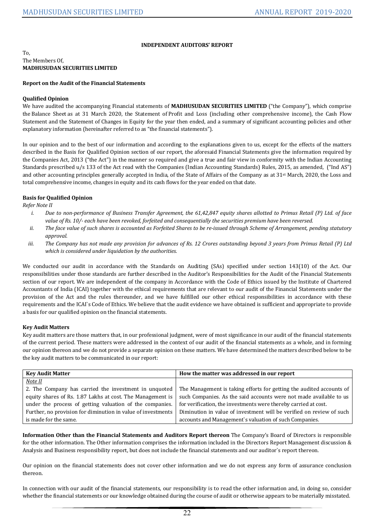### **INDEPENDENT AUDITORS' REPORT**

To, The Members Of **MADHUSUDAN SECURITIES LIMITED** 

#### **Report on the Audit of the Financial Statements**

# **Qualified Opinion**

We have audited the accompanying Financial statements of **MADHUSUDAN SECURITIES LIMITED** ("the Company"), which comprise the Balance Sheet as at 31 March 2020, the Statement of Profit and Loss (including other comprehensive income), the Cash Flow Statement and the Statement of Changes in Equity for the year then ended, and a summary of significant accounting policies and other explanatory information (hereinafter referred to as "the financial statements").

In our opinion and to the best of our information and according to the explanations given to us, except for the effects of the matters described in the Basis for Qualified Opinion section of our report, the aforesaid Financial Statements give the information required by the Companies Act, 2013 ("the Act") in the manner so required and give a true and fair view in conformity with the Indian Accounting Standards prescribed u/s 133 of the Act read with the Companies (Indian Accounting Standards) Rules, 2015, as amended, ("Ind AS") and other accounting principles generally accepted in India, of the State of Affairs of the Company as at  $31<sup>st</sup>$  March, 2020, the Loss and total comprehensive income, changes in equity and its cash flows for the year ended on that date.

# **Basis for Qualified Opinion**

*Refer Note II*

- *i.* Due to non-performance of Business Transfer Agreement, the 61,42,847 equity shares allotted to Primus Retail (P) Ltd. of face *value* of Rs. 10/- each have been revoked, forfeited and consequentially the securities premium have been reversed.
- *ii.* The face value of such shares is accounted as Forfeited Shares to be re-issued through Scheme of Arrangement, pending statutory *approval.*
- *iii.* The Company has not made any provision for advances of Rs. 12 Crores outstanding beyond 3 years from Primus Retail (P) Ltd which is considered under liquidation by the authorities.

We conducted our audit in accordance with the Standards on Auditing (SAs) specified under section 143(10) of the Act. Our responsibilities under those standards are further described in the Auditor's Responsibilities for the Audit of the Financial Statements section of our report. We are independent of the company in Accordance with the Code of Ethics issued by the Institute of Chartered Accountants of India (ICAI) together with the ethical requirements that are relevant to our audit of the Financial Statements under the provision of the Act and the rules thereunder, and we have fulfilled our other ethical responsibilities in accordance with these requirements and the ICAI's Code of Ethics. We believe that the audit evidence we have obtained is sufficient and appropriate to provide a basis for our qualified opinion on the financial statements.

# **Key Audit Matters**

Key audit matters are those matters that, in our professional judgment, were of most significance in our audit of the financial statements of the current period. These matters were addressed in the context of our audit of the financial statements as a whole, and in forming our opinion thereon and we do not provide a separate opinion on these matters. We have determined the matters described below to be the key audit matters to be communicated in our report:

| <b>Key Audit Matter</b>                                      | How the matter was addressed in our report                           |
|--------------------------------------------------------------|----------------------------------------------------------------------|
| Note II                                                      |                                                                      |
| 2. The Company has carried the investment in unquoted        | The Management is taking efforts for getting the audited accounts of |
| equity shares of Rs. 1.87 Lakhs at cost. The Management is   | such Companies. As the said accounts were not made available to us   |
| under the process of getting valuation of the companies.     | for verification, the investments were thereby carried at cost.      |
| Further, no provision for diminution in value of investments | Diminution in value of investment will be verified on review of such |
| is made for the same.                                        | accounts and Management's valuation of such Companies.               |

**Information Other than the Financial Statements and Auditors Report thereon** The Company's Board of Directors is responsible for the other information. The Other information comprises the information included in the Directors Report Management discussion & Analysis and Business responsibility report, but does not include the financial statements and our auditor's report thereon.

Our opinion on the financial statements does not cover other information and we do not express any form of assurance conclusion thereon.

In connection with our audit of the financial statements, our responsibility is to read the other information and, in doing so, consider whether the financial statements or our knowledge obtained during the course of audit or otherwise appears to be materially misstated.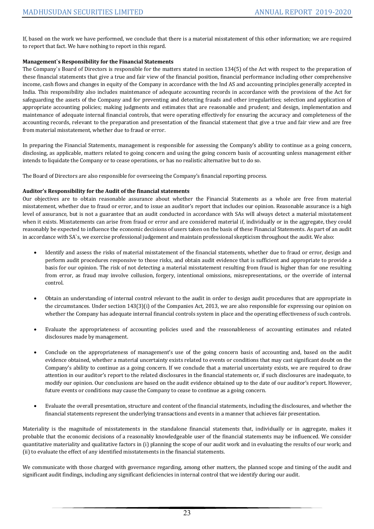If, based on the work we have performed, we conclude that there is a material misstatement of this other information; we are required to report that fact. We have nothing to report in this regard.

# **Management**'s Responsibility for the Financial Statements

The Company's Board of Directors is responsible for the matters stated in section  $134(5)$  of the Act with respect to the preparation of these financial statements that give a true and fair view of the financial position, financial performance including other comprehensive income, cash flows and changes in equity of the Company in accordance with the Ind AS and accounting principles generally accepted in India. This responsibility also includes maintenance of adequate accounting records in accordance with the provisions of the Act for safeguarding the assets of the Company and for preventing and detecting frauds and other irregularities; selection and application of appropriate accounting policies; making judgments and estimates that are reasonable and prudent; and design, implementation and maintenance of adequate internal financial controls, that were operating effectively for ensuring the accuracy and completeness of the accounting records, relevant to the preparation and presentation of the financial statement that give a true and fair view and are free from material misstatement, whether due to fraud or error.

In preparing the Financial Statements, management is responsible for assessing the Company's ability to continue as a going concern, disclosing, as applicable, matters related to going concern and using the going concern basis of accounting unless management either intends to liquidate the Company or to cease operations, or has no realistic alternative but to do so.

The Board of Directors are also responsible for overseeing the Company's financial reporting process.

### Auditor's Responsibility for the Audit of the financial statements

Our objectives are to obtain reasonable assurance about whether the Financial Statements as a whole are free from material misstatement, whether due to fraud or error, and to issue an auditor's report that includes our opinion. Reasonable assurance is a high level of assurance, but is not a guarantee that an audit conducted in accordance with SAs will always detect a material misstatement when it exists. Misstatements can arise from fraud or error and are considered material if, individually or in the aggregate, they could reasonably be expected to influence the economic decisions of users taken on the basis of these Financial Statements. As part of an audit in accordance with SA`s, we exercise professional judgement and maintain professional skepticism throughout the audit. We also:

- Identify and assess the risks of material misstatement of the financial statements, whether due to fraud or error, design and perform audit procedures responsive to those risks, and obtain audit evidence that is sufficient and appropriate to provide a basis for our opinion. The risk of not detecting a material misstatement resulting from fraud is higher than for one resulting from error, as fraud may involve collusion, forgery, intentional omissions, misrepresentations, or the override of internal control.
- Obtain an understanding of internal control relevant to the audit in order to design audit procedures that are appropriate in the circumstances. Under section  $143(3)(i)$  of the Companies Act, 2013, we are also responsible for expressing our opinion on whether the Company has adequate internal financial controls system in place and the operating effectiveness of such controls.
- Evaluate the appropriateness of accounting policies used and the reasonableness of accounting estimates and related disclosures made by management.
- Conclude on the appropriateness of management's use of the going concern basis of accounting and, based on the audit evidence obtained, whether a material uncertainty exists related to events or conditions that may cast significant doubt on the Company's ability to continue as a going concern. If we conclude that a material uncertainty exists, we are required to draw attention in our auditor's report to the related disclosures in the financial statements or, if such disclosures are inadequate, to modify our opinion. Our conclusions are based on the audit evidence obtained up to the date of our auditor's report. However, future events or conditions may cause the Company to cease to continue as a going concern.
- Evaluate the overall presentation, structure and content of the financial statements, including the disclosures, and whether the financial statements represent the underlying transactions and events in a manner that achieves fair presentation.

Materiality is the magnitude of misstatements in the standalone financial statements that, individually or in aggregate, makes it probable that the economic decisions of a reasonably knowledgeable user of the financial statements may be influenced. We consider quantitative materiality and qualitative factors in (i) planning the scope of our audit work and in evaluating the results of our work; and (ii) to evaluate the effect of any identified misstatements in the financial statements.

We communicate with those charged with governance regarding, among other matters, the planned scope and timing of the audit and significant audit findings, including any significant deficiencies in internal control that we identify during our audit.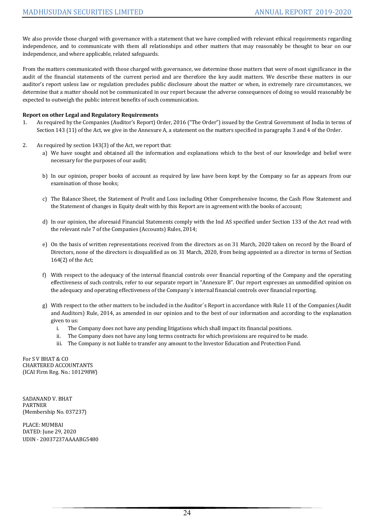We also provide those charged with governance with a statement that we have complied with relevant ethical requirements regarding independence, and to communicate with them all relationships and other matters that may reasonably be thought to bear on our independence, and where applicable, related safeguards.

From the matters communicated with those charged with governance, we determine those matters that were of most significance in the audit of the financial statements of the current period and are therefore the key audit matters. We describe these matters in our auditor's report unless law or regulation precludes public disclosure about the matter or when, in extremely rare circumstances, we determine that a matter should not be communicated in our report because the adverse consequences of doing so would reasonably be expected to outweigh the public interest benefits of such communication.

# **Report on other Legal and Regulatory Requirements**

- 1. As required by the Companies (Auditor's Report) Order, 2016 ("The Order") issued by the Central Government of India in terms of Section 143 (11) of the Act, we give in the Annexure A, a statement on the matters specified in paragraphs 3 and 4 of the Order.
- 2. As required by section  $143(3)$  of the Act, we report that:
	- a) We have sought and obtained all the information and explanations which to the best of our knowledge and belief were necessary for the purposes of our audit;
	- b) In our opinion, proper books of account as required by law have been kept by the Company so far as appears from our examination of those books;
	- c) The Balance Sheet, the Statement of Profit and Loss including Other Comprehensive Income, the Cash Flow Statement and the Statement of changes in Equity dealt with by this Report are in agreement with the books of account;
	- d) In our opinion, the aforesaid Financial Statements comply with the Ind AS specified under Section 133 of the Act read with the relevant rule 7 of the Companies (Accounts) Rules, 2014;
	- e) On the basis of written representations received from the directors as on 31 March, 2020 taken on record by the Board of Directors, none of the directors is disqualified as on 31 March, 2020, from being appointed as a director in terms of Section  $164(2)$  of the Act;
	- f) With respect to the adequacy of the internal financial controls over financial reporting of the Company and the operating effectiveness of such controls, refer to our separate report in "Annexure B". Our report expresses an unmodified opinion on the adequacy and operating effectiveness of the Company's internal financial controls over financial reporting.
	- g) With respect to the other matters to be included in the Auditor's Report in accordance with Rule 11 of the Companies (Audit and Auditors) Rule, 2014, as amended in our opinion and to the best of our information and according to the explanation given to us:
		- i. The Company does not have any pending litigations which shall impact its financial positions.
		- ii. The Company does not have any long terms contracts for which provisions are required to be made.
		- iii. The Company is not liable to transfer any amount to the Investor Education and Protection Fund.

For S V BHAT & CO CHARTERED ACCOUNTANTS (ICAI Firm Reg. No.: 101298W)

SADANAND V. BHAT PARTNER (Membership No. 037237)

PLACE: MUMBAI DATED: June 29, 2020 UDIN - 20037237AAAABG5480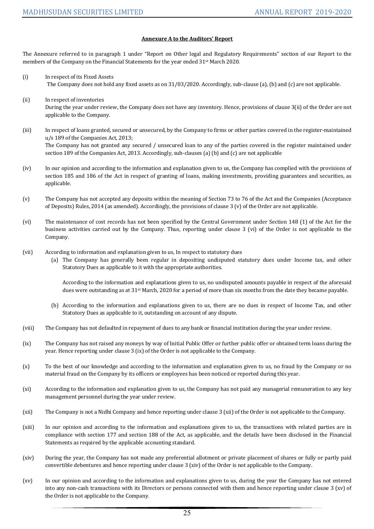# **Annexure A to the Auditors' Report**

The Annexure referred to in paragraph 1 under "Report on Other legal and Regulatory Requirements" section of our Report to the members of the Company on the Financial Statements for the year ended  $31^{st}$  March 2020.

- (i) In respect of its Fixed Assets The Company does not hold any fixed assets as on  $31/03/2020$ . Accordingly, sub-clause (a), (b) and (c) are not applicable.
- (ii) In respect of inventories During the year under review, the Company does not have any inventory. Hence, provisions of clause 3(ii) of the Order are not applicable to the Company.
- (iii) In respect of loans granted, secured or unsecured, by the Company to firms or other parties covered in the register-maintained u/s 189 of the Companies Act, 2013; The Company has not granted any secured / unsecured loan to any of the parties covered in the register maintained under section 189 of the Companies Act, 2013. Accordingly, sub-clauses (a) (b) and  $(c)$  are not applicable
- (iv) In our opinion and according to the information and explanation given to us, the Company has complied with the provisions of section 185 and 186 of the Act in respect of granting of loans, making investments, providing guarantees and securities, as applicable.
- (v) The Company has not accepted any deposits within the meaning of Section 73 to 76 of the Act and the Companies (Acceptance of Deposits) Rules, 2014 (as amended). Accordingly, the provisions of clause  $3$  (v) of the Order are not applicable.
- (vi) The maintenance of cost records has not been specified by the Central Government under Section 148 (1) of the Act for the business activities carried out by the Company. Thus, reporting under clause 3 (vi) of the Order is not applicable to the Company.
- (vii) According to information and explanation given to us. In respect to statutory dues
	- (a) The Company has generally been regular in depositing undisputed statutory dues under Income tax, and other Statutory Dues as applicable to it with the appropriate authorities.

According to the information and explanations given to us, no undisputed amounts payable in respect of the aforesaid dues were outstanding as at  $31^{st}$  March, 2020 for a period of more than six months from the date they became payable.

- (b) According to the information and explanations given to us, there are no dues in respect of Income Tax, and other Statutory Dues as applicable to it, outstanding on account of any dispute.
- (viii) The Company has not defaulted in repayment of dues to any bank or financial institution during the year under review.
- (ix) The Company has not raised any moneys by way of Initial Public Offer or further public offer or obtained term loans during the year. Hence reporting under clause 3 (ix) of the Order is not applicable to the Company.
- (x) To the best of our knowledge and according to the information and explanation given to us, no fraud by the Company or no material fraud on the Company by its officers or employees has been noticed or reported during this year.
- (xi) According to the information and explanation given to us, the Company has not paid any managerial remuneration to any key management personnel during the year under review.
- (xii) The Company is not a Nidhi Company and hence reporting under clause 3 (xii) of the Order is not applicable to the Company.
- (xiii) In our opinion and according to the information and explanations given to us, the transactions with related parties are in compliance with section 177 and section 188 of the Act, as applicable, and the details have been disclosed in the Financial Statements as required by the applicable accounting standard.
- (xiv) During the year, the Company has not made any preferential allotment or private placement of shares or fully or partly paid convertible debentures and hence reporting under clause 3 (xiv) of the Order is not applicable to the Company.
- (xv) In our opinion and according to the information and explanations given to us, during the year the Company has not entered into any non-cash transactions with its Directors or persons connected with them and hence reporting under clause 3 (xv) of the Order is not applicable to the Company.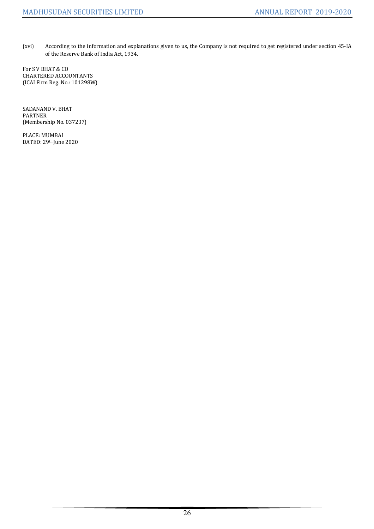(xvi) According to the information and explanations given to us, the Company is not required to get registered under section 45-IA of the Reserve Bank of India Act, 1934.

For S V BHAT & CO CHARTERED ACCOUNTANTS (ICAI Firm Reg. No.: 101298W)

SADANAND V. BHAT PARTNER (Membership No. 037237)

PLACE: MUMBAI DATED: 29th June 2020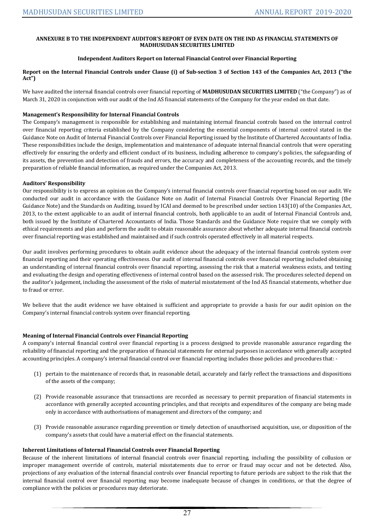# ANNEXURE B TO THE INDEPENDENT AUDITOR'S REPORT OF EVEN DATE ON THE IND AS FINANCIAL STATEMENTS OF **MADHUSUDAN SECURITIES LIMITED**

# Independent Auditors Report on Internal Financial Control over Financial Reporting

# Report on the Internal Financial Controls under Clause (i) of Sub-section 3 of Section 143 of the Companies Act, 2013 ("the **Act")**

We have audited the internal financial controls over financial reporting of **MADHUSUDAN SECURITIES LIMITED** ("the Company") as of March 31, 2020 in conjunction with our audit of the Ind AS financial statements of the Company for the year ended on that date.

#### **Management's Responsibility for Internal Financial Controls**

The Company's management is responsible for establishing and maintaining internal financial controls based on the internal control over financial reporting criteria established by the Company considering the essential components of internal control stated in the Guidance Note on Audit of Internal Financial Controls over Financial Reporting issued by the Institute of Chartered Accountants of India. These responsibilities include the design, implementation and maintenance of adequate internal financial controls that were operating effectively for ensuring the orderly and efficient conduct of its business, including adherence to company's policies, the safeguarding of its assets, the prevention and detection of frauds and errors, the accuracy and completeness of the accounting records, and the timely preparation of reliable financial information, as required under the Companies Act, 2013.

#### **Auditors' Responsibility**

Our responsibility is to express an opinion on the Company's internal financial controls over financial reporting based on our audit. We conducted our audit in accordance with the Guidance Note on Audit of Internal Financial Controls Over Financial Reporting (the Guidance Note) and the Standards on Auditing, issued by ICAI and deemed to be prescribed under section 143(10) of the Companies Act, 2013, to the extent applicable to an audit of internal financial controls, both applicable to an audit of Internal Financial Controls and, both issued by the Institute of Chartered Accountants of India. Those Standards and the Guidance Note require that we comply with ethical requirements and plan and perform the audit to obtain reasonable assurance about whether adequate internal financial controls over financial reporting was established and maintained and if such controls operated effectively in all material respects.

Our audit involves performing procedures to obtain audit evidence about the adequacy of the internal financial controls system over financial reporting and their operating effectiveness. Our audit of internal financial controls over financial reporting included obtaining an understanding of internal financial controls over financial reporting, assessing the risk that a material weakness exists, and testing and evaluating the design and operating effectiveness of internal control based on the assessed risk. The procedures selected depend on the auditor's judgement, including the assessment of the risks of material misstatement of the Ind AS financial statements, whether due to fraud or error.

We believe that the audit evidence we have obtained is sufficient and appropriate to provide a basis for our audit opinion on the Company's internal financial controls system over financial reporting.

#### **Meaning of Internal Financial Controls over Financial Reporting**

A company's internal financial control over financial reporting is a process designed to provide reasonable assurance regarding the reliability of financial reporting and the preparation of financial statements for external purposes in accordance with generally accepted accounting principles. A company's internal financial control over financial reporting includes those policies and procedures that: -

- (1) pertain to the maintenance of records that, in reasonable detail, accurately and fairly reflect the transactions and dispositions of the assets of the company;
- (2) Provide reasonable assurance that transactions are recorded as necessary to permit preparation of financial statements in accordance with generally accepted accounting principles, and that receipts and expenditures of the company are being made only in accordance with authorisations of management and directors of the company; and
- (3) Provide reasonable assurance regarding prevention or timely detection of unauthorised acquisition, use, or disposition of the company's assets that could have a material effect on the financial statements.

#### **Inherent Limitations of Internal Financial Controls over Financial Reporting**

Because of the inherent limitations of internal financial controls over financial reporting, including the possibility of collusion or improper management override of controls, material misstatements due to error or fraud may occur and not be detected. Also, projections of any evaluation of the internal financial controls over financial reporting to future periods are subject to the risk that the internal financial control over financial reporting may become inadequate because of changes in conditions, or that the degree of compliance with the policies or procedures may deteriorate.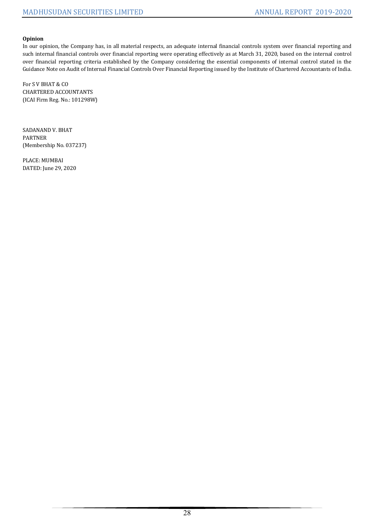# **Opinion**

In our opinion, the Company has, in all material respects, an adequate internal financial controls system over financial reporting and such internal financial controls over financial reporting were operating effectively as at March 31, 2020, based on the internal control over financial reporting criteria established by the Company considering the essential components of internal control stated in the Guidance Note on Audit of Internal Financial Controls Over Financial Reporting issued by the Institute of Chartered Accountants of India.

For S V BHAT & CO CHARTERED ACCOUNTANTS (ICAI Firm Reg. No.: 101298W)

SADANAND V. BHAT PARTNER (Membership No. 037237)

PLACE: MUMBAI DATED: June 29, 2020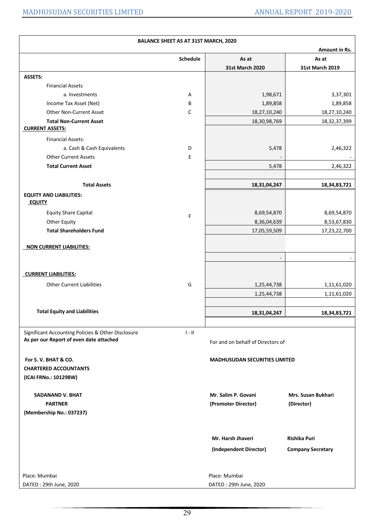|                                                    | <b>BALANCE SHEET AS AT 31ST MARCH, 2020</b> |                                      |                          |
|----------------------------------------------------|---------------------------------------------|--------------------------------------|--------------------------|
|                                                    |                                             |                                      | Amount in Rs.            |
|                                                    | Schedule                                    | As at                                | As at                    |
|                                                    |                                             | <b>31st March 2020</b>               | 31st March 2019          |
| <b>ASSETS:</b>                                     |                                             |                                      |                          |
| <b>Financial Assets</b>                            |                                             |                                      |                          |
| a. Investments                                     | Α                                           | 1,98,671                             | 3,37,301                 |
| Income Tax Asset (Net)                             | В                                           | 1,89,858                             | 1,89,858                 |
| Other Non-Current Asset                            | C                                           | 18,27,10,240                         | 18,27,10,240             |
| <b>Total Non-Current Asset</b>                     |                                             | 18,30,98,769                         | 18,32,37,399             |
| <b>CURRENT ASSETS:</b>                             |                                             |                                      |                          |
| <b>Financial Assets:</b>                           |                                             |                                      |                          |
| a. Cash & Cash Equivalents                         | D                                           | 5,478                                | 2,46,322                 |
| <b>Other Current Assets</b>                        | E                                           |                                      |                          |
| <b>Total Current Asset</b>                         |                                             | 5,478                                | 2,46,322                 |
|                                                    |                                             |                                      |                          |
| <b>Total Assets</b>                                |                                             | 18,31,04,247                         | 18, 34, 83, 721          |
| <b>EQUITY AND LIABILITIES:</b>                     |                                             |                                      |                          |
| <b>EQUITY</b>                                      |                                             |                                      |                          |
| <b>Equity Share Capital</b>                        | F                                           | 8,69,54,870                          | 8,69,54,870              |
| Other Equity                                       |                                             | 8,36,04,639                          | 8,53,67,830              |
| <b>Total Shareholders Fund</b>                     |                                             | 17,05,59,509                         | 17,23,22,700             |
|                                                    |                                             |                                      |                          |
| <b>NON CURRENT LIABILITIES:</b>                    |                                             |                                      |                          |
|                                                    |                                             |                                      |                          |
|                                                    |                                             |                                      |                          |
| <b>CURRENT LIABILITIES:</b>                        |                                             |                                      |                          |
| <b>Other Current Liabilities</b>                   | G                                           | 1,25,44,738                          | 1,11,61,020              |
|                                                    |                                             | 1,25,44,738                          | 1,11,61,020              |
|                                                    |                                             |                                      |                          |
| <b>Total Equity and Liabilities</b>                |                                             | 18,31,04,247                         | 18,34,83,721             |
|                                                    |                                             |                                      |                          |
| Significant Accounting Policies & Other Disclosure | $I - II$                                    |                                      |                          |
| As per our Report of even date attached            |                                             | For and on behalf of Directors of    |                          |
|                                                    |                                             |                                      |                          |
| For S. V. BHAT & CO.                               |                                             | <b>MADHUSUDAN SECURITIES LIMITED</b> |                          |
| <b>CHARTERED ACCOUNTANTS</b>                       |                                             |                                      |                          |
| (ICAI FRNo.: 101298W)                              |                                             |                                      |                          |
|                                                    |                                             |                                      |                          |
| <b>SADANAND V. BHAT</b>                            |                                             | Mr. Salim P. Govani                  | Mrs. Susan Bukhari       |
| <b>PARTNER</b>                                     |                                             | (Promoter Director)                  | (Director)               |
| (Membership No.: 037237)                           |                                             |                                      |                          |
|                                                    |                                             |                                      |                          |
|                                                    |                                             | Mr. Harsh Jhaveri                    | <b>Rishika Puri</b>      |
|                                                    |                                             | (Independent Director)               | <b>Company Secretary</b> |
|                                                    |                                             |                                      |                          |
| Place: Mumbai                                      |                                             | Place: Mumbai                        |                          |
| DATED: 29th June, 2020                             |                                             | DATED: 29th June, 2020               |                          |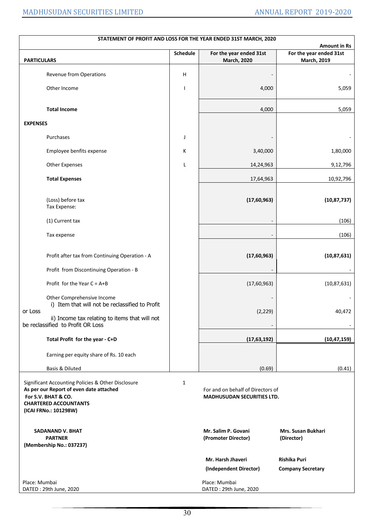|                    | STATEMENT OF PROFIT AND LOSS FOR THE YEAR ENDED 31ST MARCH, 2020                                                                                                              |          |                                                                        |                                                                      |  |  |
|--------------------|-------------------------------------------------------------------------------------------------------------------------------------------------------------------------------|----------|------------------------------------------------------------------------|----------------------------------------------------------------------|--|--|
| <b>PARTICULARS</b> |                                                                                                                                                                               | Schedule | For the year ended 31st<br><b>March, 2020</b>                          | <b>Amount in Rs</b><br>For the year ended 31st<br><b>March, 2019</b> |  |  |
|                    | <b>Revenue from Operations</b>                                                                                                                                                | H        |                                                                        |                                                                      |  |  |
|                    | Other Income                                                                                                                                                                  | I        | 4,000                                                                  | 5,059                                                                |  |  |
|                    | <b>Total Income</b>                                                                                                                                                           |          | 4,000                                                                  | 5,059                                                                |  |  |
| <b>EXPENSES</b>    |                                                                                                                                                                               |          |                                                                        |                                                                      |  |  |
|                    | Purchases                                                                                                                                                                     | J        |                                                                        |                                                                      |  |  |
|                    | Employee benfits expense                                                                                                                                                      | К        | 3,40,000                                                               | 1,80,000                                                             |  |  |
|                    | Other Expenses                                                                                                                                                                | L        | 14,24,963                                                              | 9,12,796                                                             |  |  |
|                    | <b>Total Expenses</b>                                                                                                                                                         |          | 17,64,963                                                              | 10,92,796                                                            |  |  |
|                    | (Loss) before tax<br>Tax Expense:                                                                                                                                             |          | (17,60,963)                                                            | (10, 87, 737)                                                        |  |  |
|                    | (1) Current tax                                                                                                                                                               |          | $\overline{\phantom{a}}$                                               | (106)                                                                |  |  |
|                    | Tax expense                                                                                                                                                                   |          | $\qquad \qquad \blacksquare$                                           | (106)                                                                |  |  |
|                    | Profit after tax from Continuing Operation - A                                                                                                                                |          | (17,60,963)                                                            | (10, 87, 631)                                                        |  |  |
|                    | Profit from Discontinuing Operation - B                                                                                                                                       |          |                                                                        |                                                                      |  |  |
|                    | Profit for the Year $C = A + B$                                                                                                                                               |          | (17,60,963)                                                            | (10, 87, 631)                                                        |  |  |
| or Loss            | Other Comprehensive Income<br>i) Item that will not be reclassified to Profit                                                                                                 |          | (2, 229)                                                               | 40,472                                                               |  |  |
|                    | ii) Income tax relating to items that will not<br>be reclassified to Profit OR Loss                                                                                           |          |                                                                        |                                                                      |  |  |
|                    | Total Profit for the year - C+D                                                                                                                                               |          | (17, 63, 192)                                                          | (10, 47, 159)                                                        |  |  |
|                    | Earning per equity share of Rs. 10 each                                                                                                                                       |          |                                                                        |                                                                      |  |  |
|                    | Basis & Diluted                                                                                                                                                               |          | (0.69)                                                                 | (0.41)                                                               |  |  |
|                    | Significant Accounting Policies & Other Disclosure<br>As per our Report of even date attached<br>For S.V. BHAT & CO.<br><b>CHARTERED ACCOUNTANTS</b><br>(ICAI FRNo.: 101298W) | 1        | For and on behalf of Directors of<br><b>MADHUSUDAN SECURITIES LTD.</b> |                                                                      |  |  |
|                    | <b>SADANAND V. BHAT</b><br><b>PARTNER</b><br>(Membership No.: 037237)                                                                                                         |          | Mr. Salim P. Govani<br>(Promoter Director)                             | Mrs. Susan Bukhari<br>(Director)                                     |  |  |
|                    |                                                                                                                                                                               |          | Mr. Harsh Jhaveri<br>(Independent Director)                            | <b>Rishika Puri</b><br><b>Company Secretary</b>                      |  |  |
| Place: Mumbai      | DATED: 29th June, 2020                                                                                                                                                        |          | Place: Mumbai<br>DATED: 29th June, 2020                                |                                                                      |  |  |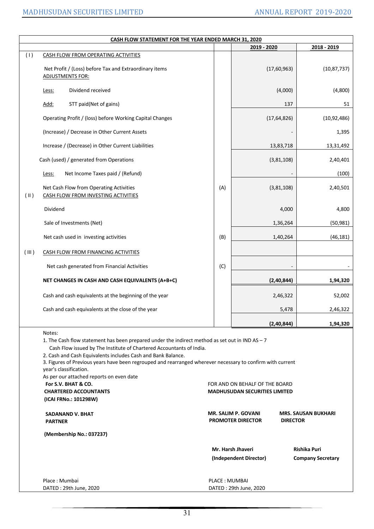|               | <b>CASH FLOW STATEMENT FOR THE YEAR ENDED MARCH 31, 2020</b>                                                                                                                                                                                                                                                                                                                                                                                                                                                          |               |                                                                           |                                          |
|---------------|-----------------------------------------------------------------------------------------------------------------------------------------------------------------------------------------------------------------------------------------------------------------------------------------------------------------------------------------------------------------------------------------------------------------------------------------------------------------------------------------------------------------------|---------------|---------------------------------------------------------------------------|------------------------------------------|
|               |                                                                                                                                                                                                                                                                                                                                                                                                                                                                                                                       |               | 2019 - 2020                                                               | 2018 - 2019                              |
| (1)           | CASH FLOW FROM OPERATING ACTIVITIES                                                                                                                                                                                                                                                                                                                                                                                                                                                                                   |               |                                                                           |                                          |
|               | Net Profit / (Loss) before Tax and Extraordinary items<br><b>ADJUSTMENTS FOR:</b>                                                                                                                                                                                                                                                                                                                                                                                                                                     |               | (17,60,963)                                                               | (10, 87, 737)                            |
|               | Dividend received<br>Less:                                                                                                                                                                                                                                                                                                                                                                                                                                                                                            |               | (4,000)                                                                   | (4,800)                                  |
|               | STT paid(Net of gains)<br>Add:                                                                                                                                                                                                                                                                                                                                                                                                                                                                                        |               | 137                                                                       | 51                                       |
|               | Operating Profit / (loss) before Working Capital Changes                                                                                                                                                                                                                                                                                                                                                                                                                                                              |               | (17, 64, 826)                                                             | (10, 92, 486)                            |
|               | (Increase) / Decrease in Other Current Assets                                                                                                                                                                                                                                                                                                                                                                                                                                                                         |               |                                                                           | 1,395                                    |
|               | Increase / (Decrease) in Other Current Liabilities                                                                                                                                                                                                                                                                                                                                                                                                                                                                    |               | 13,83,718                                                                 | 13,31,492                                |
|               | Cash (used) / generated from Operations                                                                                                                                                                                                                                                                                                                                                                                                                                                                               |               | (3, 81, 108)                                                              | 2,40,401                                 |
|               | Net Income Taxes paid / (Refund)<br>Less:                                                                                                                                                                                                                                                                                                                                                                                                                                                                             |               |                                                                           | (100)                                    |
| $(\parallel)$ | Net Cash Flow from Operating Activities<br>CASH FLOW FROM INVESTING ACTIVITIES                                                                                                                                                                                                                                                                                                                                                                                                                                        | (A)           | (3,81,108)                                                                | 2,40,501                                 |
|               | Dividend                                                                                                                                                                                                                                                                                                                                                                                                                                                                                                              |               | 4,000                                                                     | 4,800                                    |
|               | Sale of Investments (Net)                                                                                                                                                                                                                                                                                                                                                                                                                                                                                             |               | 1,36,264                                                                  | (50, 981)                                |
|               | Net cash used in investing activities                                                                                                                                                                                                                                                                                                                                                                                                                                                                                 | (B)           | 1,40,264                                                                  | (46, 181)                                |
| (III)         | CASH FLOW FROM FINANCING ACTIVITIES                                                                                                                                                                                                                                                                                                                                                                                                                                                                                   |               |                                                                           |                                          |
|               | Net cash generated from Financial Activities                                                                                                                                                                                                                                                                                                                                                                                                                                                                          | (C)           |                                                                           |                                          |
|               | NET CHANGES IN CASH AND CASH EQUIVALENTS (A+B+C)                                                                                                                                                                                                                                                                                                                                                                                                                                                                      |               | (2,40,844)                                                                | 1,94,320                                 |
|               | Cash and cash equivalents at the beginning of the year                                                                                                                                                                                                                                                                                                                                                                                                                                                                |               | 2,46,322                                                                  | 52,002                                   |
|               | Cash and cash equivalents at the close of the year                                                                                                                                                                                                                                                                                                                                                                                                                                                                    |               | 5,478                                                                     | 2,46,322                                 |
|               |                                                                                                                                                                                                                                                                                                                                                                                                                                                                                                                       |               | (2,40,844)                                                                | 1,94,320                                 |
|               | Notes:<br>1. The Cash flow statement has been prepared under the indirect method as set out in IND AS - 7<br>Cash Flow issued by The Institute of Chartered Accountants of India.<br>2. Cash and Cash Equivalents includes Cash and Bank Balance.<br>3. Figures of Previous years have been regrouped and rearranged wherever necessary to confirm with current<br>year's classification.<br>As per our attached reports on even date<br>For S.V. BHAT & CO.<br><b>CHARTERED ACCOUNTANTS</b><br>(ICAI FRNo.: 101298W) |               | FOR AND ON BEHALF OF THE BOARD<br><b>MADHUSUDAN SECURITIES LIMITED</b>    |                                          |
|               | SADANAND V. BHAT<br><b>PARTNER</b>                                                                                                                                                                                                                                                                                                                                                                                                                                                                                    |               | <b>MR. SALIM P. GOVANI</b><br><b>PROMOTER DIRECTOR</b><br><b>DIRECTOR</b> | <b>MRS. SAUSAN BUKHARI</b>               |
|               | (Membership No.: 037237)                                                                                                                                                                                                                                                                                                                                                                                                                                                                                              |               |                                                                           |                                          |
|               |                                                                                                                                                                                                                                                                                                                                                                                                                                                                                                                       |               | Mr. Harsh Jhaveri<br>(Independent Director)                               | Rishika Puri<br><b>Company Secretary</b> |
|               | Place: Mumbai<br>DATED: 29th June, 2020                                                                                                                                                                                                                                                                                                                                                                                                                                                                               | PLACE: MUMBAI | DATED: 29th June, 2020                                                    |                                          |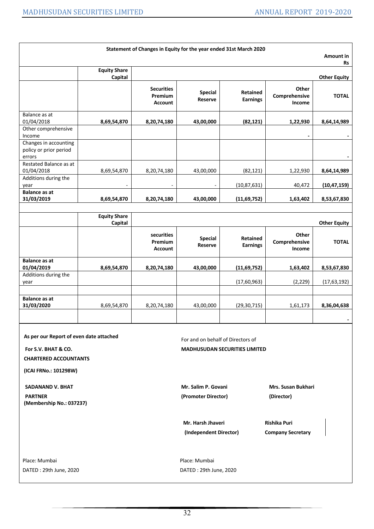| Statement of Changes in Equity for the year ended 31st March 2020<br>Amount in<br><b>Rs</b> |                                |                                                |                                   |                                      |                                         |                     |
|---------------------------------------------------------------------------------------------|--------------------------------|------------------------------------------------|-----------------------------------|--------------------------------------|-----------------------------------------|---------------------|
|                                                                                             | <b>Equity Share</b><br>Capital |                                                |                                   |                                      |                                         | <b>Other Equity</b> |
|                                                                                             |                                | <b>Securities</b><br>Premium<br><b>Account</b> | <b>Special</b><br>Reserve         | <b>Retained</b><br><b>Earnings</b>   | <b>Other</b><br>Comprehensive<br>Income | <b>TOTAL</b>        |
| Balance as at<br>01/04/2018                                                                 | 8,69,54,870                    | 8,20,74,180                                    | 43,00,000                         | (82, 121)                            | 1,22,930                                | 8,64,14,989         |
| Other comprehensive                                                                         |                                |                                                |                                   |                                      |                                         |                     |
| Income                                                                                      |                                |                                                |                                   |                                      |                                         |                     |
| Changes in accounting<br>policy or prior period<br>errors                                   |                                |                                                |                                   |                                      |                                         |                     |
| Restated Balance as at                                                                      |                                |                                                |                                   |                                      |                                         |                     |
| 01/04/2018                                                                                  | 8,69,54,870                    | 8,20,74,180                                    | 43,00,000                         | (82, 121)                            | 1,22,930                                | 8,64,14,989         |
| Additions during the<br>year                                                                |                                |                                                |                                   | (10, 87, 631)                        | 40,472                                  | (10, 47, 159)       |
| <b>Balance as at</b>                                                                        |                                |                                                |                                   |                                      |                                         |                     |
| 31/03/2019                                                                                  | 8,69,54,870                    | 8,20,74,180                                    | 43,00,000                         | (11,69,752)                          | 1,63,402                                | 8,53,67,830         |
|                                                                                             |                                |                                                |                                   |                                      |                                         |                     |
|                                                                                             | <b>Equity Share</b><br>Capital |                                                |                                   |                                      |                                         | <b>Other Equity</b> |
|                                                                                             |                                |                                                |                                   |                                      |                                         |                     |
|                                                                                             |                                | securities<br><b>Premium</b><br><b>Account</b> | <b>Special</b><br>Reserve         | Retained<br><b>Earnings</b>          | Other<br>Comprehensive<br>Income        | <b>TOTAL</b>        |
| <b>Balance as at</b><br>01/04/2019                                                          | 8,69,54,870                    | 8,20,74,180                                    | 43,00,000                         | (11,69,752)                          | 1,63,402                                | 8,53,67,830         |
| Additions during the                                                                        |                                |                                                |                                   |                                      |                                         |                     |
| year                                                                                        |                                |                                                |                                   | (17,60,963)                          | (2, 229)                                | (17, 63, 192)       |
|                                                                                             |                                |                                                |                                   |                                      |                                         |                     |
| <b>Balance as at</b>                                                                        |                                |                                                |                                   |                                      |                                         |                     |
| 31/03/2020                                                                                  | 8,69,54,870                    | 8,20,74,180                                    | 43,00,000                         | (29, 30, 715)                        | 1,61,173                                | 8,36,04,638         |
|                                                                                             |                                |                                                |                                   |                                      |                                         |                     |
| As per our Report of even date attached                                                     |                                |                                                | For and on behalf of Directors of |                                      |                                         |                     |
| For S.V. BHAT & CO.                                                                         |                                |                                                |                                   | <b>MADHUSUDAN SECURITIES LIMITED</b> |                                         |                     |
|                                                                                             |                                |                                                |                                   |                                      |                                         |                     |
| <b>CHARTERED ACCOUNTANTS</b><br>(ICAI FRNo.: 101298W)                                       |                                |                                                |                                   |                                      |                                         |                     |
|                                                                                             |                                |                                                |                                   |                                      |                                         |                     |
| <b>SADANAND V. BHAT</b>                                                                     |                                |                                                | Mr. Salim P. Govani               |                                      | Mrs. Susan Bukhari                      |                     |
| <b>PARTNER</b>                                                                              |                                |                                                | (Promoter Director)               |                                      | (Director)                              |                     |
| (Membership No.: 037237)                                                                    |                                |                                                |                                   |                                      |                                         |                     |
|                                                                                             |                                |                                                | Mr. Harsh Jhaveri                 |                                      | <b>Rishika Puri</b>                     |                     |
|                                                                                             |                                |                                                |                                   |                                      |                                         |                     |
|                                                                                             |                                |                                                | (Independent Director)            |                                      | <b>Company Secretary</b>                |                     |
| Place: Mumbai                                                                               |                                |                                                | Place: Mumbai                     |                                      |                                         |                     |
|                                                                                             |                                |                                                |                                   |                                      |                                         |                     |
| DATED: 29th June, 2020                                                                      | DATED: 29th June, 2020         |                                                |                                   |                                      |                                         |                     |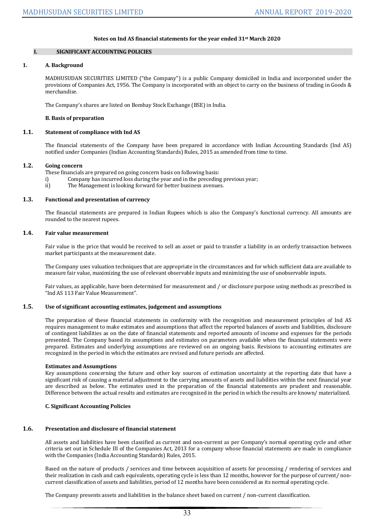#### **Notes on Ind AS financial statements for the year ended 31st March 2020**

#### **I. SIGNIFICANT ACCOUNTING POLICIES**

#### **1. A. Background**

MADHUSUDAN SECURITIES LIMITED ("the Company") is a public Company domiciled in India and incorporated under the provisions of Companies Act, 1956. The Company is incorporated with an object to carry on the business of trading in Goods & merchandise. 

The Company's shares are listed on Bombay Stock Exchange (BSE) in India.

#### **B. Basis of preparation**

#### 1.1. Statement of compliance with Ind AS

The financial statements of the Company have been prepared in accordance with Indian Accounting Standards (Ind AS) notified under Companies (Indian Accounting Standards) Rules, 2015 as amended from time to time.

#### 1.2. **Going concern**

- These financials are prepared on going concern basis on following basis:
- i) Company has incurred loss during the year and in the preceding previous year;
- ii) The Management is looking forward for better business avenues.

#### **1.3.** Functional and presentation of currency

The financial statements are prepared in Indian Rupees which is also the Company's functional currency. All amounts are rounded to the nearest rupees.

#### **1.4. Fair value measurement**

Fair value is the price that would be received to sell an asset or paid to transfer a liability in an orderly transaction between market participants at the measurement date.

The Company uses valuation techniques that are appropriate in the circumstances and for which sufficient data are available to measure fair value, maximizing the use of relevant observable inputs and minimizing the use of unobservable inputs.

Fair values, as applicable, have been determined for measurement and / or disclosure purpose using methods as prescribed in "Ind AS 113 Fair Value Measurement".

#### **1.5.** Use of significant accounting estimates, judgement and assumptions

The preparation of these financial statements in conformity with the recognition and measurement principles of Ind AS requires management to make estimates and assumptions that affect the reported balances of assets and liabilities, disclosure of contingent liabilities as on the date of financial statements and reported amounts of income and expenses for the periods presented. The Company based its assumptions and estimates on parameters available when the financial statements were prepared. Estimates and underlying assumptions are reviewed on an ongoing basis. Revisions to accounting estimates are recognized in the period in which the estimates are revised and future periods are affected.

#### **Estimates and Assumptions**

Key assumptions concerning the future and other key sources of estimation uncertainty at the reporting date that have a significant risk of causing a material adjustment to the carrying amounts of assets and liabilities within the next financial year are described as below. The estimates used in the preparation of the financial statements are prudent and reasonable. Difference between the actual results and estimates are recognized in the period in which the results are known/ materialized.

#### **C. Significant Accounting Policies**

# **1.6. Presentation and disclosure of financial statement**

All assets and liabilities have been classified as current and non-current as per Company's normal operating cycle and other criteria set out in Schedule III of the Companies Act, 2013 for a company whose financial statements are made in compliance with the Companies (India Accounting Standards) Rules, 2015.

Based on the nature of products / services and time between acquisition of assets for processing / rendering of services and their realization in cash and cash equivalents, operating cycle is less than 12 months, however for the purpose of current/ noncurrent classification of assets and liabilities, period of 12 months have been considered as its normal operating cycle.

The Company presents assets and liabilities in the balance sheet based on current / non-current classification.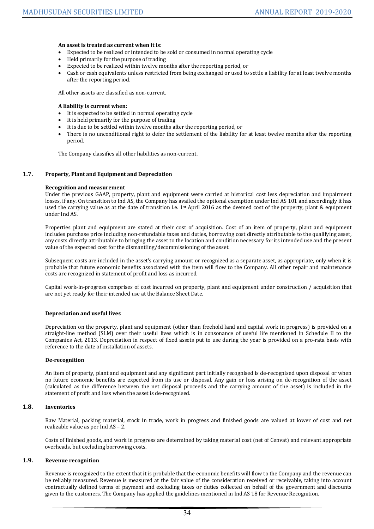#### An asset is treated as current when it is:

- Expected to be realized or intended to be sold or consumed in normal operating cycle
- Held primarily for the purpose of trading
- Expected to be realized within twelve months after the reporting period, or
- Cash or cash equivalents unless restricted from being exchanged or used to settle a liability for at least twelve months after the reporting period.

All other assets are classified as non-current.

# **A liability is current when:**

- It is expected to be settled in normal operating cycle
- It is held primarily for the purpose of trading
- It is due to be settled within twelve months after the reporting period, or
- There is no unconditional right to defer the settlement of the liability for at least twelve months after the reporting period.

The Company classifies all other liabilities as non-current.

#### **1.7. Property, Plant and Equipment and Depreciation**

#### **Recognition and measurement**

Under the previous GAAP, property, plant and equipment were carried at historical cost less depreciation and impairment losses, if any. On transition to Ind AS, the Company has availed the optional exemption under Ind AS 101 and accordingly it has used the carrying value as at the date of transition i.e. 1<sup>st</sup> April 2016 as the deemed cost of the property, plant & equipment under Ind AS.

Properties plant and equipment are stated at their cost of acquisition. Cost of an item of property, plant and equipment includes purchase price including non-refundable taxes and duties, borrowing cost directly attributable to the qualifying asset, any costs directly attributable to bringing the asset to the location and condition necessary for its intended use and the present value of the expected cost for the dismantling/decommissioning of the asset.

Subsequent costs are included in the asset's carrying amount or recognized as a separate asset, as appropriate, only when it is probable that future economic benefits associated with the item will flow to the Company. All other repair and maintenance costs are recognized in statement of profit and loss as incurred.

Capital work-in-progress comprises of cost incurred on property, plant and equipment under construction / acquisition that are not yet ready for their intended use at the Balance Sheet Date.

#### **Depreciation and useful lives**

Depreciation on the property, plant and equipment (other than freehold land and capital work in progress) is provided on a straight-line method (SLM) over their useful lives which is in consonance of useful life mentioned in Schedule II to the Companies Act, 2013. Depreciation in respect of fixed assets put to use during the year is provided on a pro-rata basis with reference to the date of installation of assets.

#### **De-recognition**

An item of property, plant and equipment and any significant part initially recognised is de-recognised upon disposal or when no future economic benefits are expected from its use or disposal. Any gain or loss arising on de-recognition of the asset (calculated as the difference between the net disposal proceeds and the carrying amount of the asset) is included in the statement of profit and loss when the asset is de-recognised.

## **1.8. Inventories**

Raw Material, packing material, stock in trade, work in progress and finished goods are valued at lower of cost and net realizable value as per Ind  $AS - 2$ .

Costs of finished goods, and work in progress are determined by taking material cost (net of Cenvat) and relevant appropriate overheads, but excluding borrowing costs.

#### **1.9.** Revenue recognition

Revenue is recognized to the extent that it is probable that the economic benefits will flow to the Company and the revenue can be reliably measured. Revenue is measured at the fair value of the consideration received or receivable, taking into account contractually defined terms of payment and excluding taxes or duties collected on behalf of the government and discounts given to the customers. The Company has applied the guidelines mentioned in Ind AS 18 for Revenue Recognition.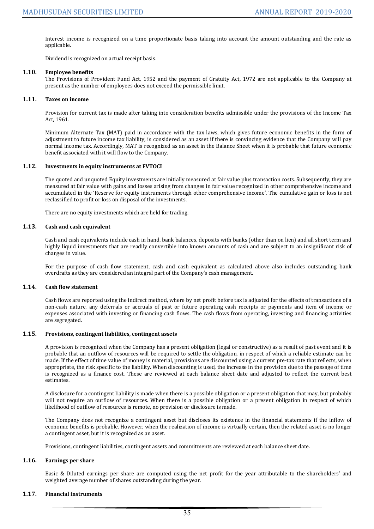Interest income is recognized on a time proportionate basis taking into account the amount outstanding and the rate as applicable.

Dividend is recognized on actual receipt basis.

#### **1.10. Employee benefits**

The Provisions of Provident Fund Act, 1952 and the payment of Gratuity Act, 1972 are not applicable to the Company at present as the number of employees does not exceed the permissible limit.

# **1.11. Taxes on income**

Provision for current tax is made after taking into consideration benefits admissible under the provisions of the Income Tax Act, 1961.

Minimum Alternate Tax (MAT) paid in accordance with the tax laws, which gives future economic benefits in the form of adjustment to future income tax liability, is considered as an asset if there is convincing evidence that the Company will pay normal income tax. Accordingly, MAT is recognized as an asset in the Balance Sheet when it is probable that future economic benefit associated with it will flow to the Company.

#### **1.12.** Investments in equity instruments at FVTOCI

The quoted and unquoted Equity investments are initially measured at fair value plus transaction costs. Subsequently, they are measured at fair value with gains and losses arising from changes in fair value recognized in other comprehensive income and accumulated in the 'Reserve for equity instruments through other comprehensive income'. The cumulative gain or loss is not reclassified to profit or loss on disposal of the investments.

There are no equity investments which are held for trading.

#### **1.13. Cash and cash equivalent**

Cash and cash equivalents include cash in hand, bank balances, deposits with banks (other than on lien) and all short term and highly liquid investments that are readily convertible into known amounts of cash and are subject to an insignificant risk of changes in value.

For the purpose of cash flow statement, cash and cash equivalent as calculated above also includes outstanding bank overdrafts as they are considered an integral part of the Company's cash management.

#### **1.14. Cash flow statement**

Cash flows are reported using the indirect method, where by net profit before tax is adjusted for the effects of transactions of a non-cash nature, any deferrals or accruals of past or future operating cash receipts or payments and item of income or expenses associated with investing or financing cash flows. The cash flows from operating, investing and financing activities are segregated.

#### 1.15. **Provisions, contingent liabilities, contingent assets**

A provision is recognized when the Company has a present obligation (legal or constructive) as a result of past event and it is probable that an outflow of resources will be required to settle the obligation, in respect of which a reliable estimate can be made. If the effect of time value of money is material, provisions are discounted using a current pre-tax rate that reflects, when appropriate, the risk specific to the liability. When discounting is used, the increase in the provision due to the passage of time is recognized as a finance cost. These are reviewed at each balance sheet date and adjusted to reflect the current best estimates.

A disclosure for a contingent liability is made when there is a possible obligation or a present obligation that may, but probably will not require an outflow of resources. When there is a possible obligation or a present obligation in respect of which likelihood of outflow of resources is remote, no provision or disclosure is made.

The Company does not recognize a contingent asset but discloses its existence in the financial statements if the inflow of economic benefits is probable. However, when the realization of income is virtually certain, then the related asset is no longer a contingent asset, but it is recognized as an asset.

Provisions, contingent liabilities, contingent assets and commitments are reviewed at each balance sheet date.

#### **1.16. Earnings per share**

Basic & Diluted earnings per share are computed using the net profit for the year attributable to the shareholders' and weighted average number of shares outstanding during the year.

#### **1.17.** Financial instruments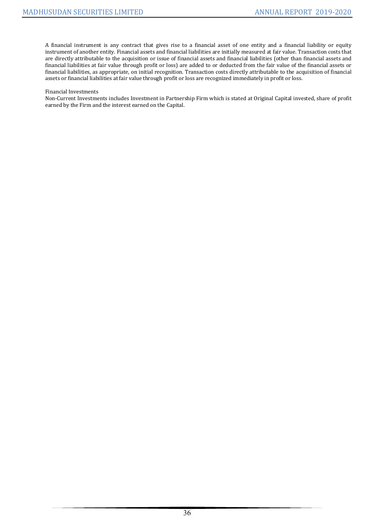A financial instrument is any contract that gives rise to a financial asset of one entity and a financial liability or equity instrument of another entity. Financial assets and financial liabilities are initially measured at fair value. Transaction costs that are directly attributable to the acquisition or issue of financial assets and financial liabilities (other than financial assets and financial liabilities at fair value through profit or loss) are added to or deducted from the fair value of the financial assets or financial liabilities, as appropriate, on initial recognition. Transaction costs directly attributable to the acquisition of financial assets or financial liabilities at fair value through profit or loss are recognized immediately in profit or loss.

#### Financial Investments

Non-Current Investments includes Investment in Partnership Firm which is stated at Original Capital invested, share of profit earned by the Firm and the interest earned on the Capital.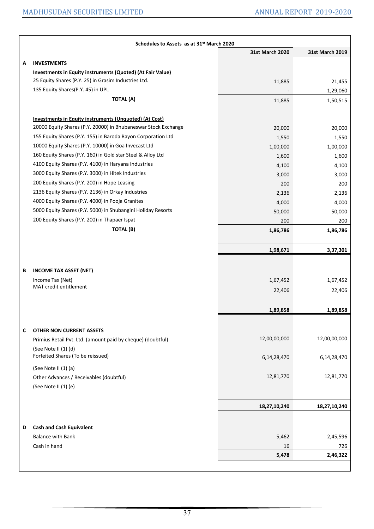|   | Schedules to Assets as at 31 <sup>st</sup> March 2020             |                        |                 |  |  |  |
|---|-------------------------------------------------------------------|------------------------|-----------------|--|--|--|
|   |                                                                   | <b>31st March 2020</b> | 31st March 2019 |  |  |  |
| A | <b>INVESTMENTS</b>                                                |                        |                 |  |  |  |
|   | <b>Investments in Equity instruments (Quoted) (At Fair Value)</b> |                        |                 |  |  |  |
|   | 25 Equity Shares (P.Y. 25) in Grasim Industries Ltd.              | 11,885                 | 21,455          |  |  |  |
|   | 135 Equity Shares(P.Y. 45) in UPL                                 |                        | 1,29,060        |  |  |  |
|   | <b>TOTAL (A)</b>                                                  | 11,885                 | 1,50,515        |  |  |  |
|   | <b>Investments in Equity instruments (Unquoted) (At Cost)</b>     |                        |                 |  |  |  |
|   | 20000 Equity Shares (P.Y. 20000) in Bhubaneswar Stock Exchange    | 20,000                 | 20,000          |  |  |  |
|   | 155 Equity Shares (P.Y. 155) in Baroda Rayon Corporation Ltd      | 1,550                  | 1,550           |  |  |  |
|   | 10000 Equity Shares (P.Y. 10000) in Goa Invecast Ltd              | 1,00,000               | 1,00,000        |  |  |  |
|   | 160 Equity Shares (P.Y. 160) in Gold star Steel & Alloy Ltd       | 1,600                  | 1,600           |  |  |  |
|   | 4100 Equity Shares (P.Y. 4100) in Haryana Industries              | 4,100                  | 4,100           |  |  |  |
|   | 3000 Equity Shares (P.Y. 3000) in Hitek Industries                | 3,000                  | 3,000           |  |  |  |
|   | 200 Equity Shares (P.Y. 200) in Hope Leasing                      | 200                    | 200             |  |  |  |
|   | 2136 Equity Shares (P.Y. 2136) in Orkay Industries                | 2,136                  | 2,136           |  |  |  |
|   | 4000 Equity Shares (P.Y. 4000) in Pooja Granites                  | 4,000                  | 4,000           |  |  |  |
|   | 5000 Equity Shares (P.Y. 5000) in Shubangini Holiday Resorts      | 50,000                 | 50,000          |  |  |  |
|   | 200 Equity Shares (P.Y. 200) in Thapaer Ispat                     | 200                    | 200             |  |  |  |
|   | TOTAL (B)                                                         | 1,86,786               | 1,86,786        |  |  |  |
|   |                                                                   |                        |                 |  |  |  |
|   |                                                                   | 1,98,671               | 3,37,301        |  |  |  |
|   |                                                                   |                        |                 |  |  |  |
| В | <b>INCOME TAX ASSET (NET)</b>                                     |                        |                 |  |  |  |
|   | Income Tax (Net)                                                  | 1,67,452               | 1,67,452        |  |  |  |
|   | MAT credit entitlement                                            | 22,406                 | 22,406          |  |  |  |
|   |                                                                   |                        |                 |  |  |  |
|   |                                                                   | 1,89,858               | 1,89,858        |  |  |  |
|   |                                                                   |                        |                 |  |  |  |
| C | <b>OTHER NON CURRENT ASSETS</b>                                   |                        |                 |  |  |  |
|   | Primius Retail Pvt. Ltd. (amount paid by cheque) (doubtful)       | 12,00,00,000           | 12,00,00,000    |  |  |  |
|   | (See Note II (1) (d)<br>Forfeited Shares (To be reissued)         | 6,14,28,470            | 6,14,28,470     |  |  |  |
|   | (See Note II (1) (a)                                              |                        |                 |  |  |  |
|   | Other Advances / Receivables (doubtful)                           | 12,81,770              | 12,81,770       |  |  |  |
|   | (See Note II (1) (e)                                              |                        |                 |  |  |  |
|   |                                                                   |                        |                 |  |  |  |
|   |                                                                   | 18,27,10,240           | 18,27,10,240    |  |  |  |
| D |                                                                   |                        |                 |  |  |  |
|   | <b>Cash and Cash Equivalent</b><br><b>Balance with Bank</b>       | 5,462                  | 2,45,596        |  |  |  |
|   | Cash in hand                                                      | 16                     | 726             |  |  |  |
|   |                                                                   | 5,478                  | 2,46,322        |  |  |  |
|   |                                                                   |                        |                 |  |  |  |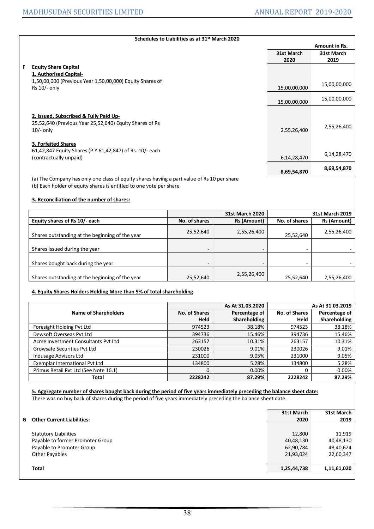|    | Schedules to Liabilities as at 31 <sup>st</sup> March 2020                                                    |              |               |
|----|---------------------------------------------------------------------------------------------------------------|--------------|---------------|
|    |                                                                                                               |              | Amount in Rs. |
|    |                                                                                                               | 31st March   | 31st March    |
|    |                                                                                                               | 2020         | 2019          |
| F. | <b>Equity Share Capital</b>                                                                                   |              |               |
|    | 1. Authorised Capital-                                                                                        |              |               |
|    | 1,50,00,000 (Previous Year 1,50,00,000) Equity Shares of                                                      |              |               |
|    | $Rs$ 10/- only                                                                                                | 15,00,00,000 | 15,00,00,000  |
|    |                                                                                                               |              |               |
|    |                                                                                                               | 15,00,00,000 | 15,00,00,000  |
|    |                                                                                                               |              |               |
|    | 2. Issued, Subscribed & Fully Paid Up-                                                                        |              |               |
|    | 25,52,640 (Previous Year 25,52,640) Equity Shares of Rs                                                       |              | 2,55,26,400   |
|    | $10/-$ only                                                                                                   | 2,55,26,400  |               |
|    |                                                                                                               |              |               |
|    | 3. Forfeited Shares                                                                                           |              |               |
|    | 61,42,847 Equity Shares (P.Y 61,42,847) of Rs. 10/- each                                                      |              | 6,14,28,470   |
|    | (contractually unpaid)                                                                                        | 6,14,28,470  |               |
|    |                                                                                                               |              | 8,69,54,870   |
|    |                                                                                                               | 8,69,54,870  |               |
|    | 7. VIII a Marriera e la carta de la calega de contra de concelerat e a carta de las de Marco de Carta de la c |              |               |

(a) The Company has only one class of equity shares having a part value of Rs 10 per share (b) Each holder of equity shares is entitled to one vote per share

# **3. Reconciliation of the number of shares:**

|                                                 |                          | <b>31st March 2020</b>   |               | <b>31st March 2019</b> |
|-------------------------------------------------|--------------------------|--------------------------|---------------|------------------------|
| Equity shares of Rs 10/- each                   | No. of shares            | <b>Rs (Amount)</b>       | No. of shares | <b>Rs (Amount)</b>     |
| Shares outstanding at the beginning of the year | 25,52,640                | 2,55,26,400              | 25,52,640     | 2,55,26,400            |
| Shares issued during the year                   | -                        | $\overline{\phantom{0}}$ |               |                        |
| Shares bought back during the year              | $\overline{\phantom{a}}$ | $\overline{\phantom{0}}$ | -             |                        |
| Shares outstanding at the beginning of the year | 25,52,640                | 2,55,26,400              | 25,52,640     | 2,55,26,400            |

# **4. Equity Shares Holders Holding More than 5% of total shareholding**

|                                       |               | As At 31.03.2020    | As At 31.03.2019 |                     |  |
|---------------------------------------|---------------|---------------------|------------------|---------------------|--|
| Name of Shareholders                  | No. of Shares | Percentage of       | No. of Shares    | Percentage of       |  |
|                                       | <b>Held</b>   | <b>Shareholding</b> | Held             | <b>Shareholding</b> |  |
| Foresight Holding Pvt Ltd             | 974523        | 38.18%              | 974523           | 38.18%              |  |
| Dewsoft Overseas Pvt Ltd              | 394736        | 15.46%              | 394736           | 15.46%              |  |
| Acme Investment Consultants Pyt Ltd   | 263157        | 10.31%              | 263157           | 10.31%              |  |
| <b>Growsafe Securities Pvt Ltd</b>    | 230026        | 9.01%               | 230026           | 9.01%               |  |
| Indusage Advisors Ltd                 | 231000        | 9.05%               | 231000           | 9.05%               |  |
| Exemplar International Pvt Ltd        | 134800        | 5.28%               | 134800           | 5.28%               |  |
| Primus Retail Pvt Ltd (See Note 16.1) | 0             | 0.00%               |                  | 0.00%               |  |
| Total                                 | 2228242       | 87.29%              | 2228242          | 87.29%              |  |

**5. Aggregate number of shares bought back during the period of five years immediately preceding the balance sheet date:** There was no buy back of shares during the period of five years immediately preceding the balance sheet date.

| <b>G</b> Other Current Liabilities: | 31st March<br>2020 | 31st March<br>2019 |
|-------------------------------------|--------------------|--------------------|
|                                     |                    |                    |
| <b>Statutory Liabilities</b>        | 12,800             | 11,919             |
| Payable to former Promoter Group    | 40,48,130          | 40,48,130          |
| Payable to Promoter Group           | 62,90,784          | 48,40,624          |
| Other Payables                      | 21,93,024          | 22,60,347          |
|                                     |                    |                    |
| Total                               | 1,25,44,738        | 1,11,61,020        |
|                                     |                    |                    |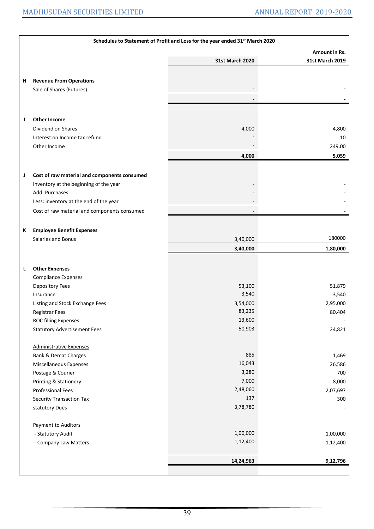| Schedules to Statement of Profit and Loss for the year ended 31st March 2020 |                        |                 |  |  |  |  |
|------------------------------------------------------------------------------|------------------------|-----------------|--|--|--|--|
|                                                                              |                        | Amount in Rs.   |  |  |  |  |
|                                                                              | <b>31st March 2020</b> | 31st March 2019 |  |  |  |  |
|                                                                              |                        |                 |  |  |  |  |
| <b>Revenue From Operations</b><br>н                                          |                        |                 |  |  |  |  |
| Sale of Shares (Futures)                                                     |                        |                 |  |  |  |  |
|                                                                              | $\blacksquare$         |                 |  |  |  |  |
|                                                                              |                        |                 |  |  |  |  |
| <b>Other Income</b><br>$\mathbf{I}$                                          |                        |                 |  |  |  |  |
| Dividend on Shares                                                           | 4,000                  | 4,800           |  |  |  |  |
| Interest on Income tax refund                                                |                        | 10              |  |  |  |  |
| Other Income                                                                 |                        | 249.00          |  |  |  |  |
|                                                                              |                        |                 |  |  |  |  |
|                                                                              | 4,000                  | 5,059           |  |  |  |  |
| Cost of raw material and components consumed<br>J                            |                        |                 |  |  |  |  |
| Inventory at the beginning of the year                                       |                        |                 |  |  |  |  |
| Add: Purchases                                                               |                        |                 |  |  |  |  |
| Less: inventory at the end of the year                                       |                        |                 |  |  |  |  |
| Cost of raw material and components consumed                                 |                        |                 |  |  |  |  |
|                                                                              |                        |                 |  |  |  |  |
| <b>Employee Benefit Expenses</b><br>K                                        |                        |                 |  |  |  |  |
| Salaries and Bonus                                                           | 3,40,000               | 180000          |  |  |  |  |
|                                                                              | 3,40,000               | 1,80,000        |  |  |  |  |
|                                                                              |                        |                 |  |  |  |  |
| <b>Other Expenses</b><br>L.                                                  |                        |                 |  |  |  |  |
| <b>Compliance Expenses</b>                                                   |                        |                 |  |  |  |  |
| Depository Fees                                                              | 53,100                 | 51,879          |  |  |  |  |
| Insurance                                                                    | 3,540                  | 3,540           |  |  |  |  |
| Listing and Stock Exchange Fees                                              | 3,54,000               | 2,95,000        |  |  |  |  |
| Registrar Fees                                                               | 83,235                 | 80,404          |  |  |  |  |
| <b>ROC filling Expenses</b>                                                  | 13,600                 |                 |  |  |  |  |
| <b>Statutory Advertisement Fees</b>                                          | 50,903                 | 24,821          |  |  |  |  |
|                                                                              |                        |                 |  |  |  |  |
| <b>Administrative Expenses</b>                                               |                        |                 |  |  |  |  |
| <b>Bank &amp; Demat Charges</b>                                              | 885                    | 1,469           |  |  |  |  |
| Miscellaneous Expenses                                                       | 16,043                 | 26,586          |  |  |  |  |
| Postage & Courier                                                            | 3,280                  | 700             |  |  |  |  |
| Printing & Stationery                                                        | 7,000                  | 8,000           |  |  |  |  |
| <b>Professional Fees</b>                                                     | 2,48,060               | 2,07,697        |  |  |  |  |
| <b>Security Transaction Tax</b>                                              | 137                    | 300             |  |  |  |  |
| statutory Dues                                                               | 3,78,780               |                 |  |  |  |  |
| Payment to Auditors                                                          |                        |                 |  |  |  |  |
| - Statutory Audit                                                            | 1,00,000               | 1,00,000        |  |  |  |  |
| - Company Law Matters                                                        | 1,12,400               | 1,12,400        |  |  |  |  |
|                                                                              |                        |                 |  |  |  |  |
|                                                                              | 14,24,963              | 9,12,796        |  |  |  |  |
|                                                                              |                        |                 |  |  |  |  |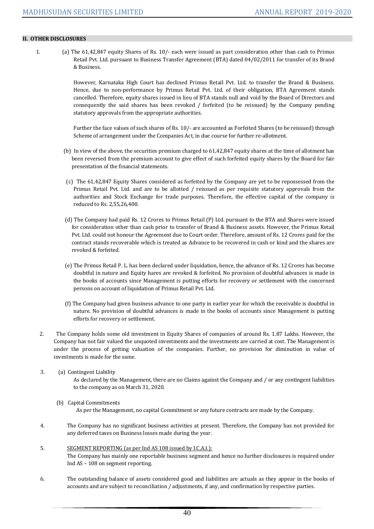## **II. OTHER DISCLOSURES**

1. (a) The 61,42,847 equity Shares of Rs. 10/- each were issued as part consideration other than cash to Primus Retail Pvt. Ltd. pursuant to Business Transfer Agreement (BTA) dated 04/02/2011 for transfer of its Brand & Business.

> However, Karnataka High Court has declined Primus Retail Pvt. Ltd. to transfer the Brand & Business. Hence, due to non-performance by Primus Retail Pvt. Ltd. of their obligation, BTA Agreement stands cancelled. Therefore, equity shares issued in lieu of BTA stands null and void by the Board of Directors and consequently the said shares has been revoked  $/$  forfeited (to be reissued) by the Company pending statutory approvals from the appropriate authorities.

> Further the face values of such shares of Rs. 10/- are accounted as Forfeited Shares (to be reissued) through Scheme of arrangement under the Companies Act, in due course for further re-allotment.

- (b) In view of the above, the securities premium charged to 61,42,847 equity shares at the time of allotment has been reversed from the premium account to give effect of such forfeited equity shares by the Board for fair presentation of the financial statements.
- (c) The 61,42,847 Equity Shares considered as forfeited by the Company are yet to be repossessed from the Primus Retail Pvt. Ltd. and are to be allotted / reissued as per requisite statutory approvals from the authorities and Stock Exchange for trade purposes. Therefore, the effective capital of the company is reduced to Rs. 2,55,26,400.
- (d) The Company had paid Rs. 12 Crores to Primus Retail (P) Ltd. pursuant to the BTA and Shares were issued for consideration other than cash prior to transfer of Brand & Business assets. However, the Primus Retail Pvt. Ltd. could not honour the Agreement due to Court order. Therefore, amount of Rs. 12 Crores paid for the contract stands recoverable which is treated as Advance to be recovered in cash or kind and the shares are revoked & forfeited.
- (e) The Primus Retail P. L. has been declared under liquidation, hence, the advance of Rs. 12 Crores has become doubtful in nature and Equity hares are revoked & forfeited. No provision of doubtful advances is made in the books of accounts since Management is putting efforts for recovery or settlement with the concerned persons on account of liquidation of Primus Retail Pvt. Ltd.
- (f) The Company had given business advance to one party in earlier year for which the receivable is doubtful in nature. No provision of doubtful advances is made in the books of accounts since Management is putting efforts for recovery or settlement.
- 2. The Company holds some old investment in Equity Shares of companies of around Rs. 1.87 Lakhs. However, the Company has not fair valued the unquoted investments and the investments are carried at cost. The Management is under the process of getting valuation of the companies. Further, no provision for diminution in value of investments is made for the same.
- 3. (a) Contingent Liability

As declared by the Management, there are no Claims against the Company and / or any contingent liabilities to the company as on March 31, 2020.

(b) Capital Commitments

As per the Management, no capital Commitment or any future contracts are made by the Company.

- 4. The Company has no significant business activities at present. Therefore, the Company has not provided for any deferred taxes on Business losses made during the year.
- 5. SEGMENT REPORTING (as per Ind AS 108 issued by I.C.A.I.): The Company has mainly one reportable business segment and hence no further disclosures is required under Ind AS - 108 on segment reporting.
- 6. The outstanding balance of assets considered good and liabilities are actuals as they appear in the books of accounts and are subject to reconciliation / adjustments, if any, and confirmation by respective parties.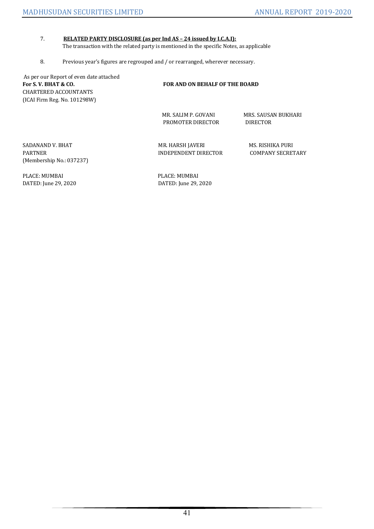- 7. **RELATED PARTY DISCLOSURE (as per Ind AS 24 issued by I.C.A.I):** The transaction with the related party is mentioned in the specific Notes, as applicable
- 8. Previous year's figures are regrouped and / or rearranged, wherever necessary.

As per our Report of even date attached **For S. V. BHAT & CO. FOR AND ON BEHALF OF THE BOARD** CHARTERED ACCOUNTANTS (ICAI Firm Reg. No. 101298W)

PROMOTER DIRECTOR DIRECTOR

MR. SALIM P. GOVANI MRS. SAUSAN BUKHARI

SADANAND V. BHAT NORDON BANG THAT MESSEL AND MR. HARSH JAVERI MS. MS. RISHIKA PURI PARTNER INDEPENDENT DIRECTOR COMPANY SECRETARY (Membership No.: 037237)

PLACE: MUMBAI PLACE: MUMBAI DATED: June 29, 2020 DATED: June 29, 2020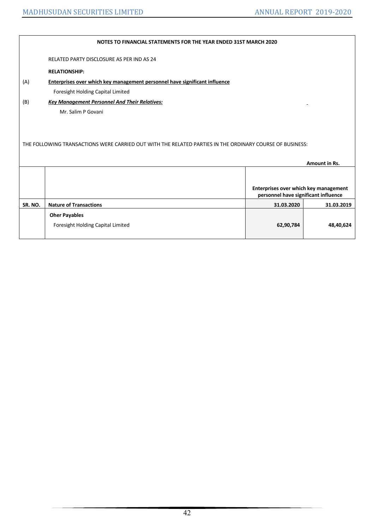| NOTES TO FINANCIAL STATEMENTS FOR THE YEAR ENDED 31ST MARCH 2020                                         |                                                                            |                                                                               |            |  |  |  |  |  |
|----------------------------------------------------------------------------------------------------------|----------------------------------------------------------------------------|-------------------------------------------------------------------------------|------------|--|--|--|--|--|
|                                                                                                          | RELATED PARTY DISCLOSURE AS PER IND AS 24                                  |                                                                               |            |  |  |  |  |  |
|                                                                                                          | <b>RELATIONSHIP:</b>                                                       |                                                                               |            |  |  |  |  |  |
| (A)                                                                                                      | Enterprises over which key management personnel have significant influence |                                                                               |            |  |  |  |  |  |
|                                                                                                          | Foresight Holding Capital Limited                                          |                                                                               |            |  |  |  |  |  |
| (B)                                                                                                      | <b>Key Management Personnel And Their Relatives:</b>                       |                                                                               |            |  |  |  |  |  |
|                                                                                                          | Mr. Salim P Govani                                                         |                                                                               |            |  |  |  |  |  |
|                                                                                                          |                                                                            |                                                                               |            |  |  |  |  |  |
|                                                                                                          |                                                                            |                                                                               |            |  |  |  |  |  |
| THE FOLLOWING TRANSACTIONS WERE CARRIED OUT WITH THE RELATED PARTIES IN THE ORDINARY COURSE OF BUSINESS: |                                                                            |                                                                               |            |  |  |  |  |  |
|                                                                                                          |                                                                            |                                                                               |            |  |  |  |  |  |
|                                                                                                          | Amount in Rs.                                                              |                                                                               |            |  |  |  |  |  |
|                                                                                                          |                                                                            |                                                                               |            |  |  |  |  |  |
|                                                                                                          |                                                                            |                                                                               |            |  |  |  |  |  |
|                                                                                                          |                                                                            | Enterprises over which key management<br>personnel have significant influence |            |  |  |  |  |  |
| SR. NO.                                                                                                  | <b>Nature of Transactions</b>                                              | 31.03.2020                                                                    | 31.03.2019 |  |  |  |  |  |
|                                                                                                          | <b>Oher Payables</b>                                                       |                                                                               |            |  |  |  |  |  |
|                                                                                                          | Foresight Holding Capital Limited                                          | 62,90,784                                                                     | 48,40,624  |  |  |  |  |  |
|                                                                                                          |                                                                            |                                                                               |            |  |  |  |  |  |